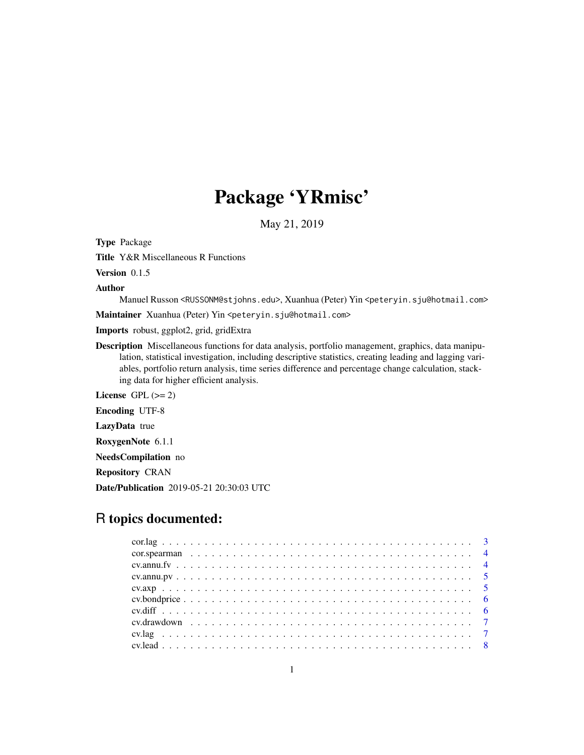# Package 'YRmisc'

May 21, 2019

Type Package

Title Y&R Miscellaneous R Functions

Version 0.1.5

Author

Manuel Russon <RUSSONM@stjohns.edu>, Xuanhua (Peter) Yin <peteryin.sju@hotmail.com>

Maintainer Xuanhua (Peter) Yin <peteryin.sju@hotmail.com>

Imports robust, ggplot2, grid, gridExtra

Description Miscellaneous functions for data analysis, portfolio management, graphics, data manipulation, statistical investigation, including descriptive statistics, creating leading and lagging variables, portfolio return analysis, time series difference and percentage change calculation, stacking data for higher efficient analysis.

License GPL  $(>= 2)$ 

Encoding UTF-8

LazyData true

RoxygenNote 6.1.1

NeedsCompilation no

Repository CRAN

Date/Publication 2019-05-21 20:30:03 UTC

# R topics documented: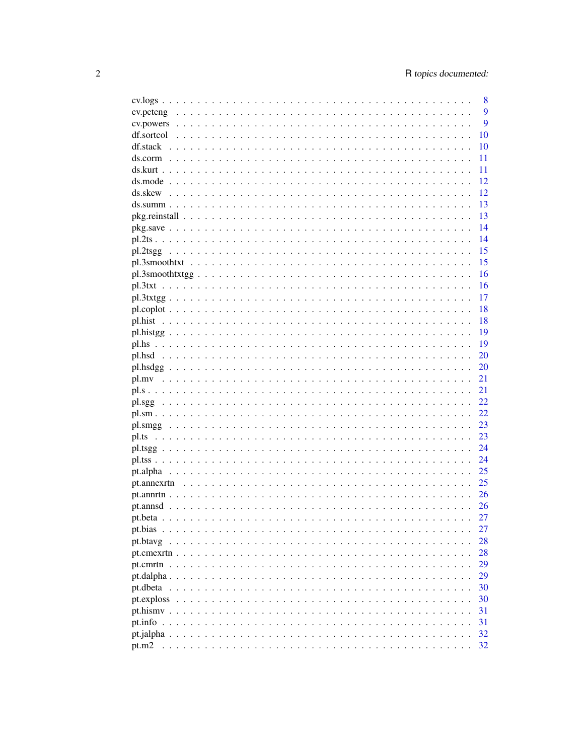| cv.logs.                                                                    | 8   |
|-----------------------------------------------------------------------------|-----|
| cv. pctcng $\ldots \ldots \ldots \ldots \ldots \ldots \ldots \ldots \ldots$ | 9   |
|                                                                             | 9   |
| df.sortcol.                                                                 | 10  |
| $df.\text{stack}$ .                                                         | 10  |
| $ds.corm \ldots$                                                            | 11  |
|                                                                             | 11  |
|                                                                             | 12  |
|                                                                             | 12  |
|                                                                             | 13  |
|                                                                             | 13  |
|                                                                             | 14  |
|                                                                             | 14  |
|                                                                             | 15  |
|                                                                             | 15  |
|                                                                             | 16  |
|                                                                             | 16  |
|                                                                             | 17  |
|                                                                             | 18  |
|                                                                             | -18 |
|                                                                             | -19 |
|                                                                             | -19 |
|                                                                             | 20  |
|                                                                             | 20  |
|                                                                             | 21  |
|                                                                             | 21  |
|                                                                             | 22  |
|                                                                             | 22  |
|                                                                             | 23  |
|                                                                             | 23  |
|                                                                             | 24  |
|                                                                             | 24  |
|                                                                             | 25  |
|                                                                             | 25  |
|                                                                             | 26  |
|                                                                             |     |
|                                                                             | 26  |
|                                                                             | 27  |
| pt.bias.                                                                    | 27  |
| pt.btavg<br>.<br>$\mathbf{r}$                                               | 28  |
| pt.cm ext $n \ldots \ldots \ldots$                                          | 28  |
|                                                                             | 29  |
| pt.dalpha $\ldots$ .                                                        | 29  |
| pt.dbeta                                                                    | 30  |
| pt.exploss                                                                  | 30  |
|                                                                             | 31  |
|                                                                             | 31  |
| pt.jalpha                                                                   | 32  |
| pt.m2                                                                       | 32  |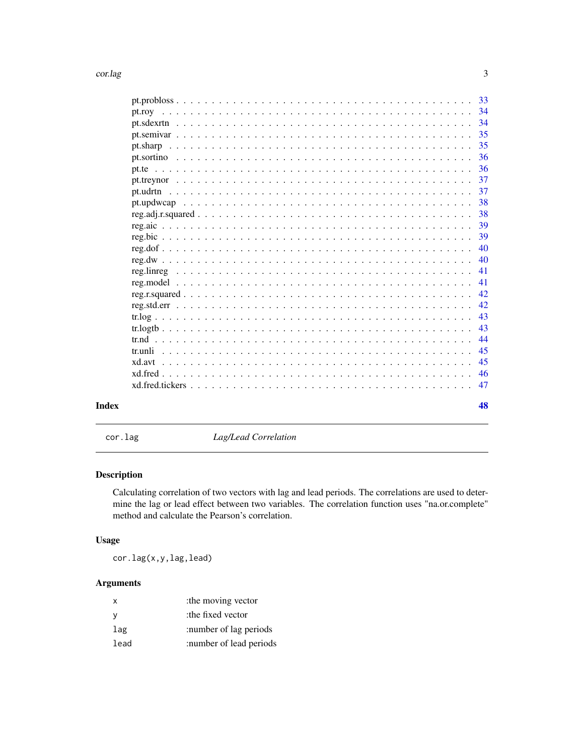#### <span id="page-2-0"></span>cor.lag 3

| Index | 48  |
|-------|-----|
|       |     |
|       |     |
|       | 45  |
|       | 45  |
|       | 44  |
|       | 43  |
|       | 43  |
|       | 42  |
|       | 42  |
|       | 41  |
|       | 41  |
|       | 40  |
|       | 40  |
|       | 39  |
|       | 39  |
|       | 38  |
|       | -38 |
|       | 37  |
|       | 37  |
|       | 36  |
|       | 36  |
|       | 35  |
|       | 35  |
|       |     |
|       |     |
|       |     |

cor.lag *Lag/Lead Correlation*

# Description

Calculating correlation of two vectors with lag and lead periods. The correlations are used to determine the lag or lead effect between two variables. The correlation function uses "na.or.complete" method and calculate the Pearson's correlation.

# Usage

cor.lag(x,y,lag,lead)

# Arguments

| x    | the moving vector:      |
|------|-------------------------|
| v    | the fixed vector:       |
| lag  | :number of lag periods  |
| lead | :number of lead periods |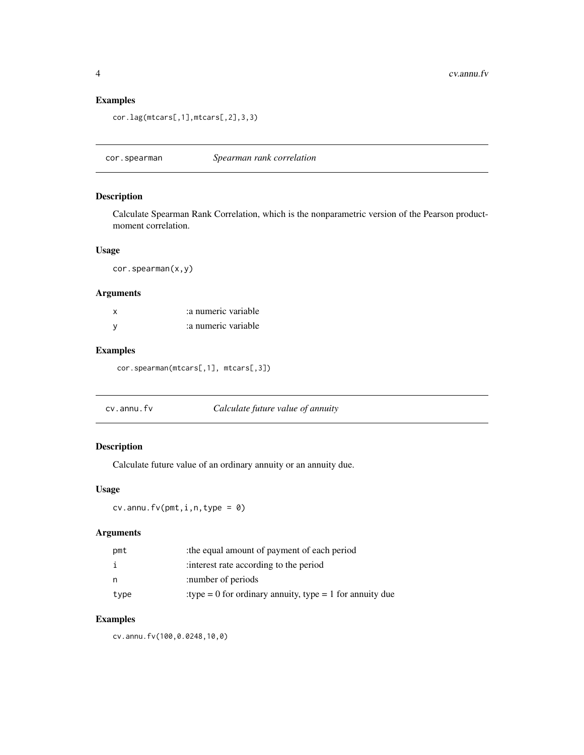# Examples

```
cor.lag(mtcars[,1],mtcars[,2],3,3)
```
cor.spearman *Spearman rank correlation*

#### Description

Calculate Spearman Rank Correlation, which is the nonparametric version of the Pearson productmoment correlation.

#### Usage

cor.spearman(x,y)

# Arguments

| <b>X</b> | a numeric variable  |
|----------|---------------------|
|          | a numeric variable: |

# Examples

cor.spearman(mtcars[,1], mtcars[,3])

| cv.annu.fv | Calculate future value of annuity |
|------------|-----------------------------------|
|------------|-----------------------------------|

# Description

Calculate future value of an ordinary annuity or an annuity due.

#### Usage

 $cv.$  annu.fv(pmt,  $i, n, type = 0$ )

# Arguments

| pmt  | the equal amount of payment of each period:               |
|------|-----------------------------------------------------------|
| j.   | interest rate according to the period                     |
| n    | :number of periods                                        |
| type | : type = 0 for ordinary annuity, type = 1 for annuity due |

# Examples

cv.annu.fv(100,0.0248,10,0)

<span id="page-3-0"></span>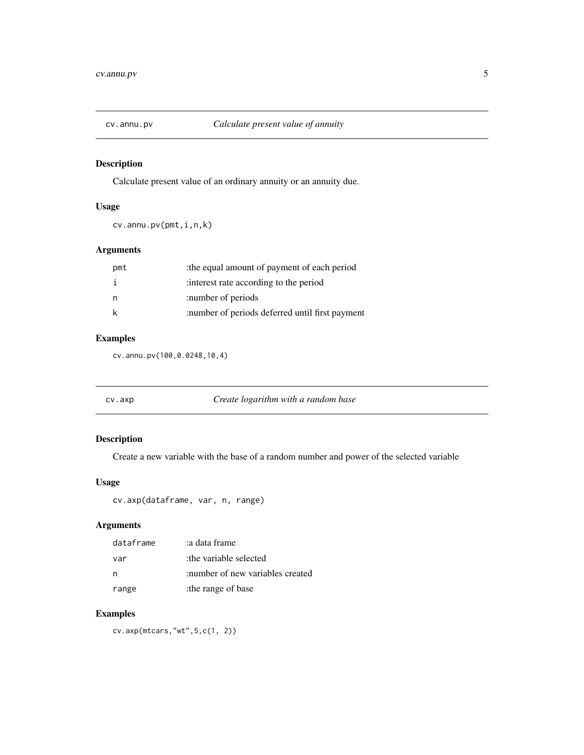<span id="page-4-0"></span>

Calculate present value of an ordinary annuity or an annuity due.

# Usage

cv.annu.pv(pmt,i,n,k)

# Arguments

| pmt | :the equal amount of payment of each period     |
|-----|-------------------------------------------------|
|     | interest rate according to the period:          |
| n   | :number of periods                              |
|     | :number of periods deferred until first payment |
|     |                                                 |

# Examples

cv.annu.pv(100,0.0248,10,4)

cv.axp *Create logarithm with a random base*

# Description

Create a new variable with the base of a random number and power of the selected variable

#### Usage

```
cv.axp(dataframe, var, n, range)
```
# Arguments

| dataframe | a data frame:                    |
|-----------|----------------------------------|
| var       | the variable selected:           |
| n         | :number of new variables created |
| range     | the range of base                |

#### Examples

cv.axp(mtcars,"wt",5,c(1, 2))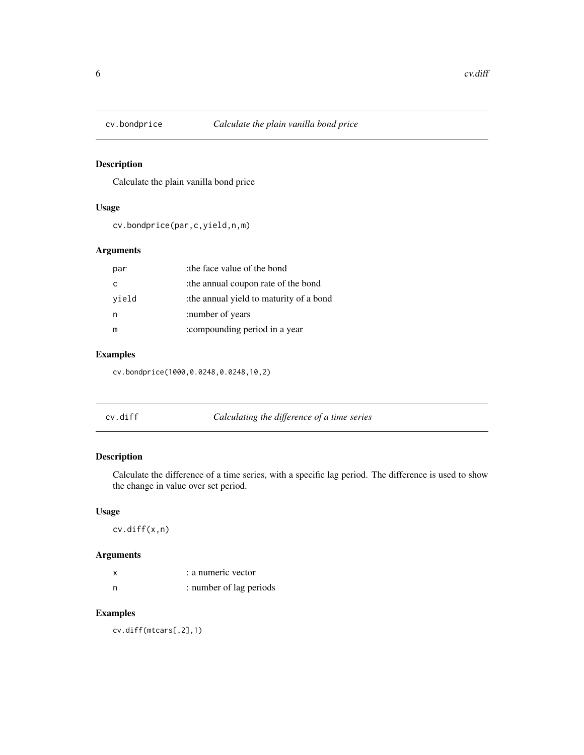<span id="page-5-0"></span>

Calculate the plain vanilla bond price

# Usage

cv.bondprice(par,c,yield,n,m)

# Arguments

| par   | the face value of the bond:            |
|-------|----------------------------------------|
| C     | the annual coupon rate of the bond:    |
| yield | the annual yield to maturity of a bond |
| n     | :number of years                       |
| m     | :compounding period in a year          |

# Examples

cv.bondprice(1000,0.0248,0.0248,10,2)

| Calculating the difference of a time series<br>cv.diff |  |
|--------------------------------------------------------|--|
|--------------------------------------------------------|--|

# Description

Calculate the difference of a time series, with a specific lag period. The difference is used to show the change in value over set period.

#### Usage

cv.diff(x,n)

# Arguments

| x   | : a numeric vector      |
|-----|-------------------------|
| - n | : number of lag periods |

# Examples

cv.diff(mtcars[,2],1)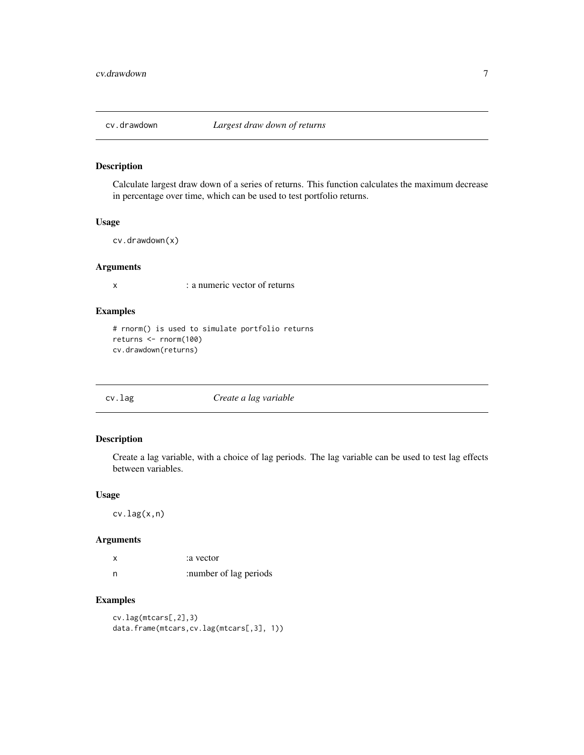<span id="page-6-0"></span>

Calculate largest draw down of a series of returns. This function calculates the maximum decrease in percentage over time, which can be used to test portfolio returns.

#### Usage

cv.drawdown(x)

# Arguments

x : a numeric vector of returns

#### Examples

```
# rnorm() is used to simulate portfolio returns
returns <- rnorm(100)
cv.drawdown(returns)
```
cv.lag *Create a lag variable*

# Description

Create a lag variable, with a choice of lag periods. The lag variable can be used to test lag effects between variables.

#### Usage

cv.lag(x,n)

# Arguments

|     | a vector:              |
|-----|------------------------|
| - n | :number of lag periods |

#### Examples

cv.lag(mtcars[,2],3) data.frame(mtcars,cv.lag(mtcars[,3], 1))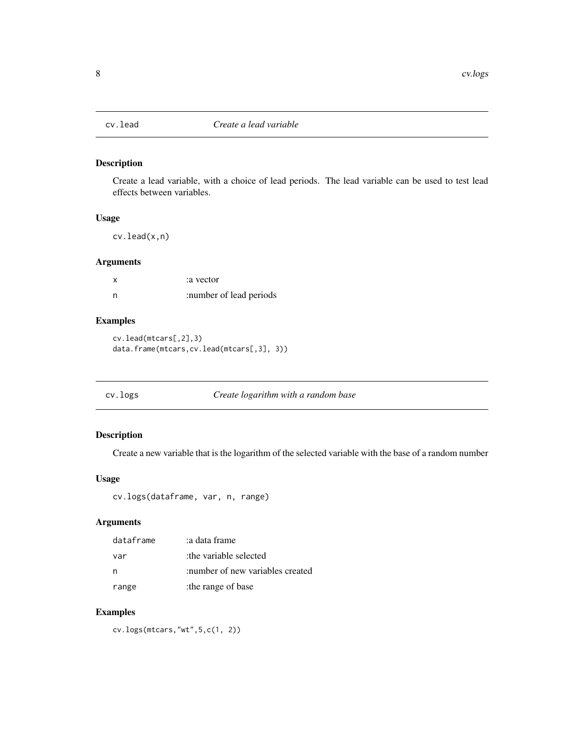<span id="page-7-0"></span>

Create a lead variable, with a choice of lead periods. The lead variable can be used to test lead effects between variables.

#### Usage

cv.lead(x,n)

# Arguments

| x | a vector:               |
|---|-------------------------|
| n | :number of lead periods |

# Examples

cv.lead(mtcars[,2],3) data.frame(mtcars,cv.lead(mtcars[,3], 3))

cv.logs *Create logarithm with a random base*

# Description

Create a new variable that is the logarithm of the selected variable with the base of a random number

#### Usage

cv.logs(dataframe, var, n, range)

# Arguments

| dataframe | a data frame:                    |
|-----------|----------------------------------|
| var       | the variable selected:           |
| n         | :number of new variables created |
| range     | :the range of base               |

# Examples

cv.logs(mtcars,"wt",5,c(1, 2))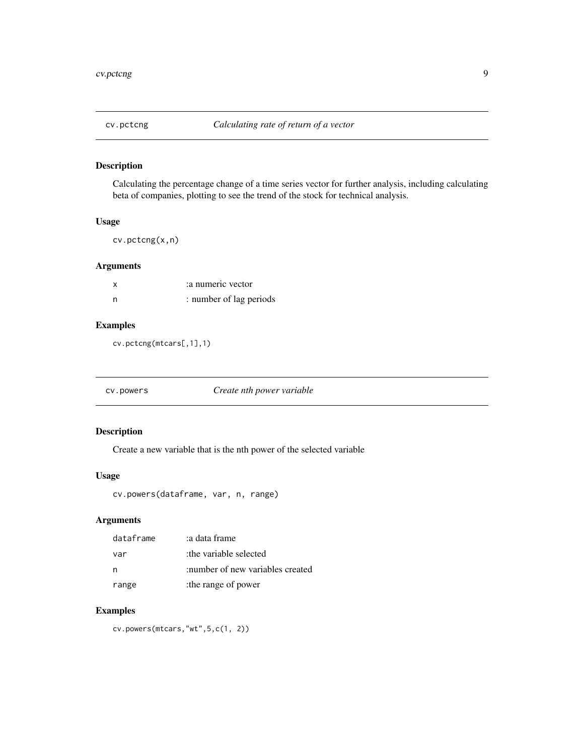<span id="page-8-0"></span>

Calculating the percentage change of a time series vector for further analysis, including calculating beta of companies, plotting to see the trend of the stock for technical analysis.

#### Usage

cv.pctcng(x,n)

# Arguments

| $\times$ | : a numeric vector      |
|----------|-------------------------|
| n        | : number of lag periods |

#### Examples

cv.pctcng(mtcars[,1],1)

cv.powers *Create nth power variable*

# Description

Create a new variable that is the nth power of the selected variable

#### Usage

```
cv.powers(dataframe, var, n, range)
```
#### Arguments

| dataframe | a data frame:                    |
|-----------|----------------------------------|
| var       | the variable selected:           |
| n         | :number of new variables created |
| range     | the range of power               |

# Examples

cv.powers(mtcars,"wt",5,c(1, 2))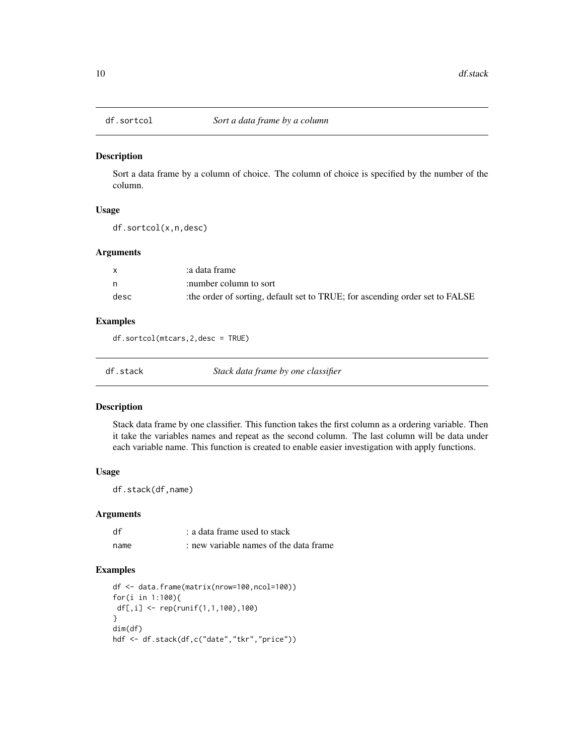<span id="page-9-0"></span>

Sort a data frame by a column of choice. The column of choice is specified by the number of the column.

#### Usage

df.sortcol(x,n,desc)

#### Arguments

|      | a data frame:                                                               |
|------|-----------------------------------------------------------------------------|
|      | :number column to sort                                                      |
| desc | the order of sorting, default set to TRUE; for ascending order set to FALSE |

#### Examples

df.sortcol(mtcars,2,desc = TRUE)

df.stack *Stack data frame by one classifier*

#### Description

Stack data frame by one classifier. This function takes the first column as a ordering variable. Then it take the variables names and repeat as the second column. The last column will be data under each variable name. This function is created to enable easier investigation with apply functions.

# Usage

df.stack(df,name)

# Arguments

| df   | : a data frame used to stack           |
|------|----------------------------------------|
| name | : new variable names of the data frame |

# Examples

```
df <- data.frame(matrix(nrow=100,ncol=100))
for(i in 1:100){
 df[,i] <- rep(runif(1,1,100),100)
}
dim(df)
hdf <- df.stack(df,c("date","tkr","price"))
```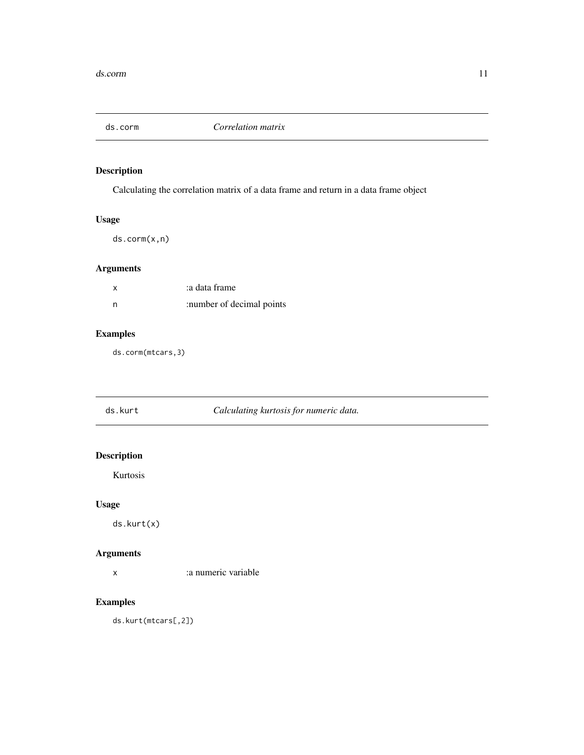<span id="page-10-0"></span>

Calculating the correlation matrix of a data frame and return in a data frame object

# Usage

ds.corm(x,n)

# Arguments

| x   | a data frame:             |
|-----|---------------------------|
| - n | :number of decimal points |

# Examples

ds.corm(mtcars,3)

ds.kurt *Calculating kurtosis for numeric data.*

# Description

Kurtosis

# Usage

ds.kurt(x)

#### Arguments

x :a numeric variable

# Examples

ds.kurt(mtcars[,2])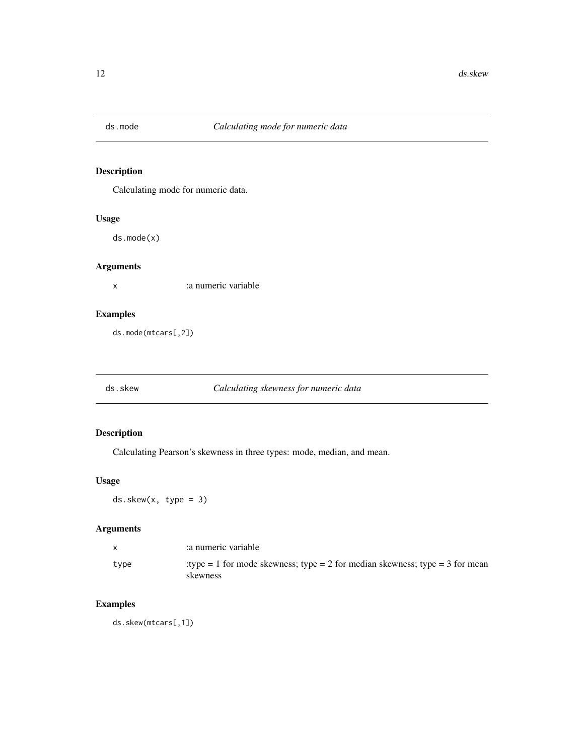<span id="page-11-0"></span>

Calculating mode for numeric data.

# Usage

ds.mode(x)

# Arguments

x :a numeric variable

# Examples

ds.mode(mtcars[,2])

# ds.skew *Calculating skewness for numeric data*

# Description

Calculating Pearson's skewness in three types: mode, median, and mean.

# Usage

 $ds.$ skew $(x, type = 3)$ 

# Arguments

| X    | a numeric variable                                                                       |
|------|------------------------------------------------------------------------------------------|
| type | :type = 1 for mode skewness; type = 2 for median skewness; type = 3 for mean<br>skewness |

# Examples

ds.skew(mtcars[,1])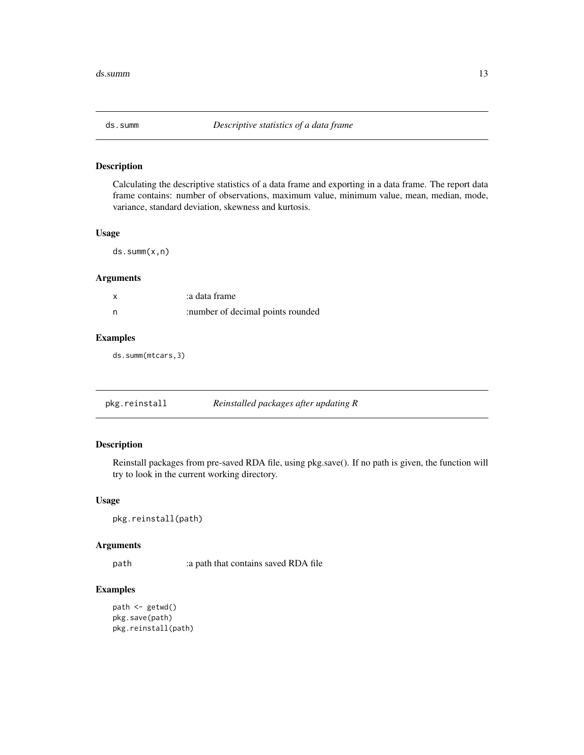<span id="page-12-0"></span>

Calculating the descriptive statistics of a data frame and exporting in a data frame. The report data frame contains: number of observations, maximum value, minimum value, mean, median, mode, variance, standard deviation, skewness and kurtosis.

#### Usage

ds.summ(x,n)

# Arguments

| x   | a data frame:                     |
|-----|-----------------------------------|
| - n | :number of decimal points rounded |

#### Examples

ds.summ(mtcars,3)

pkg.reinstall *Reinstalled packages after updating R*

# Description

Reinstall packages from pre-saved RDA file, using pkg.save(). If no path is given, the function will try to look in the current working directory.

#### Usage

```
pkg.reinstall(path)
```
#### Arguments

path :a path that contains saved RDA file

# Examples

```
path <- getwd()
pkg.save(path)
pkg.reinstall(path)
```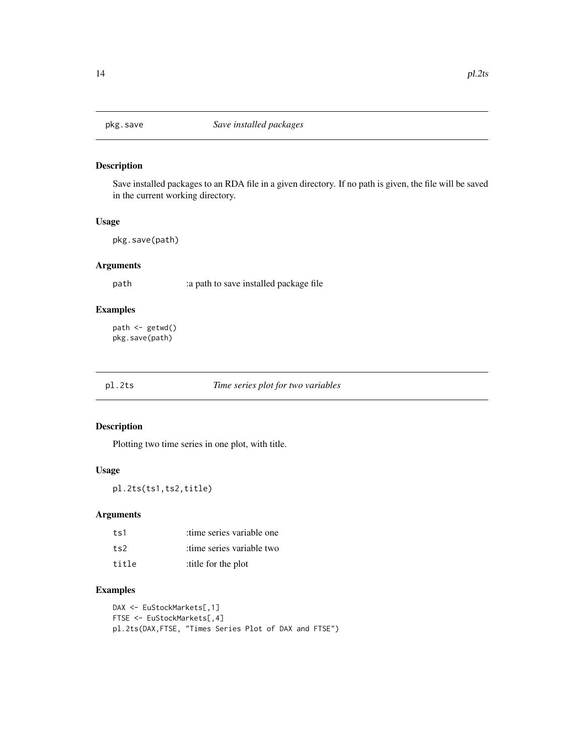<span id="page-13-0"></span>

Save installed packages to an RDA file in a given directory. If no path is given, the file will be saved in the current working directory.

#### Usage

pkg.save(path)

# Arguments

path :a path to save installed package file

# Examples

path <- getwd() pkg.save(path)

#### pl.2ts *Time series plot for two variables*

# Description

Plotting two time series in one plot, with title.

#### Usage

pl.2ts(ts1,ts2,title)

#### Arguments

| ts1   | time series variable one: |
|-------|---------------------------|
| ts2   | time series variable two: |
| title | title for the plot:       |

#### Examples

```
DAX <- EuStockMarkets[,1]
FTSE <- EuStockMarkets[,4]
pl.2ts(DAX,FTSE, "Times Series Plot of DAX and FTSE")
```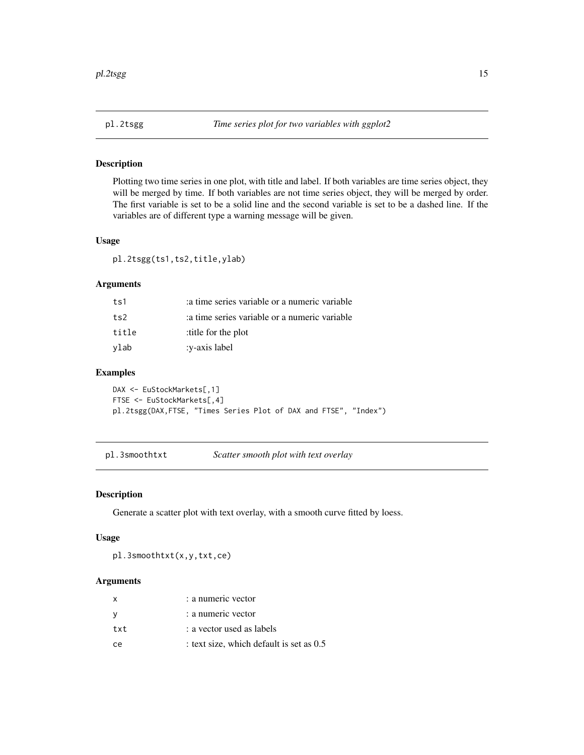<span id="page-14-0"></span>

Plotting two time series in one plot, with title and label. If both variables are time series object, they will be merged by time. If both variables are not time series object, they will be merged by order. The first variable is set to be a solid line and the second variable is set to be a dashed line. If the variables are of different type a warning message will be given.

#### Usage

pl.2tsgg(ts1,ts2,title,ylab)

#### Arguments

| t <sub>s1</sub> | a time series variable or a numeric variable |
|-----------------|----------------------------------------------|
| ts2             | a time series variable or a numeric variable |
| title           | title for the plot:                          |
| ylab            | :y-axis label                                |

# Examples

```
DAX <- EuStockMarkets[,1]
FTSE <- EuStockMarkets[,4]
pl.2tsgg(DAX,FTSE, "Times Series Plot of DAX and FTSE", "Index")
```
pl.3smoothtxt *Scatter smooth plot with text overlay*

#### Description

Generate a scatter plot with text overlay, with a smooth curve fitted by loess.

#### Usage

pl.3smoothtxt(x,y,txt,ce)

#### Arguments

| X             | : a numeric vector                       |
|---------------|------------------------------------------|
| y             | : a numeric vector                       |
| txt           | : a vector used as labels                |
| <sub>ce</sub> | : text size, which default is set as 0.5 |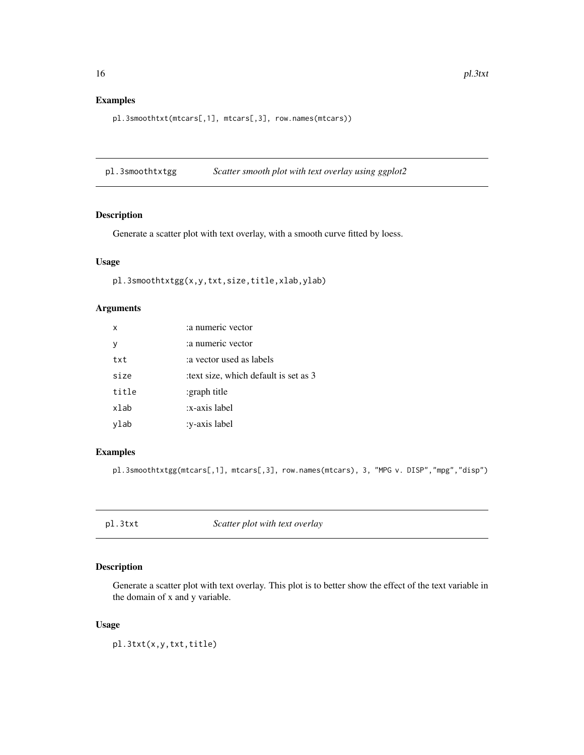# Examples

pl.3smoothtxt(mtcars[,1], mtcars[,3], row.names(mtcars))

pl.3smoothtxtgg *Scatter smooth plot with text overlay using ggplot2*

# Description

Generate a scatter plot with text overlay, with a smooth curve fitted by loess.

#### Usage

pl.3smoothtxtgg(x,y,txt,size,title,xlab,ylab)

# Arguments

| X     | a numeric vector                     |
|-------|--------------------------------------|
| ν     | : a numeric vector                   |
| txt   | a vector used as labels              |
| size  | text size, which default is set as 3 |
| title | :graph title                         |
| xlab  | x-axis label:                        |
| vlab  | :y-axis label                        |

#### Examples

pl.3smoothtxtgg(mtcars[,1], mtcars[,3], row.names(mtcars), 3, "MPG v. DISP","mpg","disp")

pl.3txt *Scatter plot with text overlay*

# Description

Generate a scatter plot with text overlay. This plot is to better show the effect of the text variable in the domain of x and y variable.

#### Usage

pl.3txt(x,y,txt,title)

<span id="page-15-0"></span>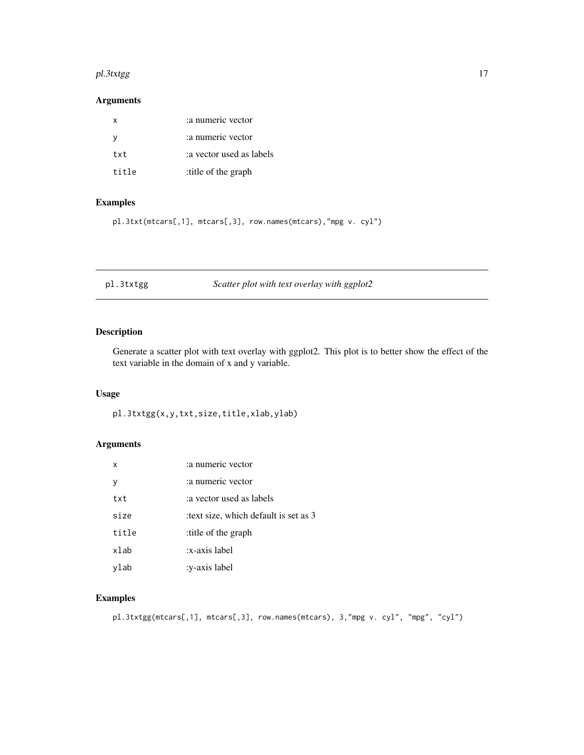#### <span id="page-16-0"></span>pl.3txtgg 17

# Arguments

| x     | :a numeric vector       |
|-------|-------------------------|
| v     | a numeric vector:       |
| txt   | a vector used as labels |
| title | title of the graph:     |

# Examples

pl.3txt(mtcars[,1], mtcars[,3], row.names(mtcars),"mpg v. cyl")

pl.3txtgg *Scatter plot with text overlay with ggplot2*

# Description

Generate a scatter plot with text overlay with ggplot2. This plot is to better show the effect of the text variable in the domain of x and y variable.

# Usage

pl.3txtgg(x,y,txt,size,title,xlab,ylab)

# Arguments

| x     | : a numeric vector                    |
|-------|---------------------------------------|
| ٧     | : a numeric vector                    |
| txt   | a vector used as labels:              |
| size  | text size, which default is set as 3: |
| title | title of the graph:                   |
| xlab  | x-axis label:                         |
| vlab  | :y-axis label                         |

# Examples

```
pl.3txtgg(mtcars[,1], mtcars[,3], row.names(mtcars), 3,"mpg v. cyl", "mpg", "cyl")
```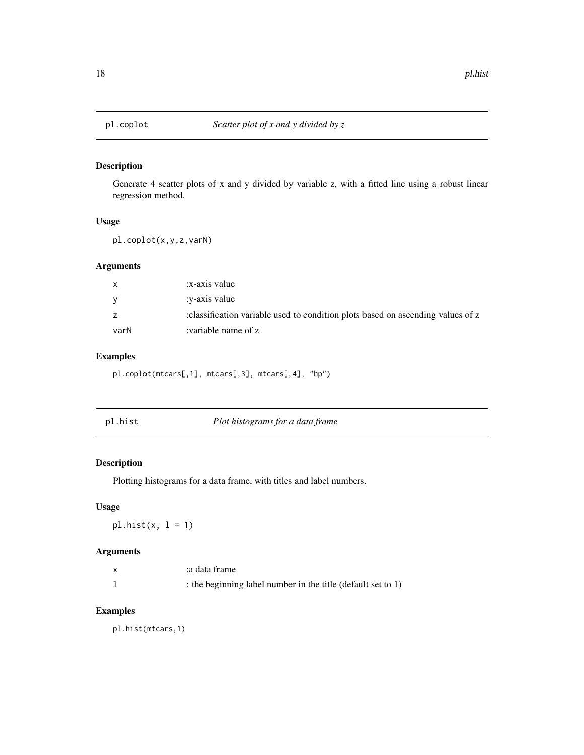<span id="page-17-0"></span>

Generate 4 scatter plots of x and y divided by variable z, with a fitted line using a robust linear regression method.

#### Usage

pl.coplot(x,y,z,varN)

# Arguments

| $\mathsf{x}$ | x-axis value                                                                   |
|--------------|--------------------------------------------------------------------------------|
| <b>V</b>     | :y-axis value                                                                  |
| Z            | classification variable used to condition plots based on ascending values of z |
| varN         | variable name of z:                                                            |

# Examples

pl.coplot(mtcars[,1], mtcars[,3], mtcars[,4], "hp")

# Description

Plotting histograms for a data frame, with titles and label numbers.

# Usage

 $pl.hist(x, 1 = 1)$ 

# Arguments

| a data frame:                                                |
|--------------------------------------------------------------|
| : the beginning label number in the title (default set to 1) |

# Examples

pl.hist(mtcars,1)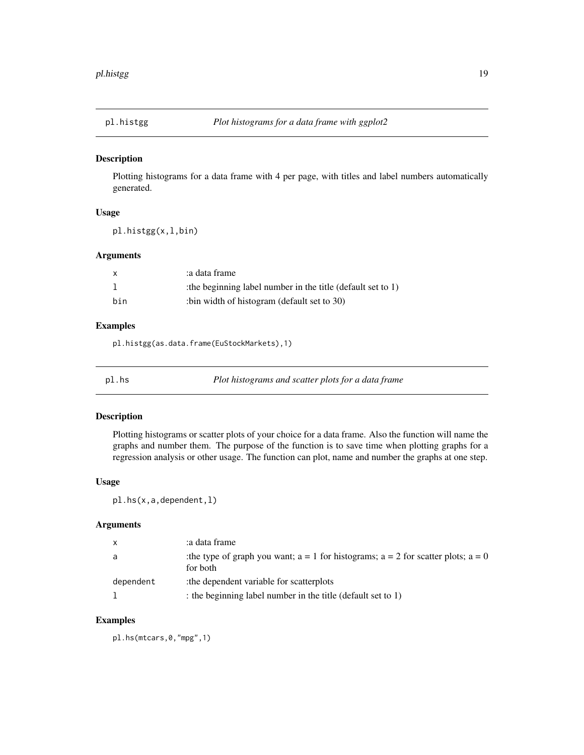<span id="page-18-0"></span>

Plotting histograms for a data frame with 4 per page, with titles and label numbers automatically generated.

#### Usage

pl.histgg(x,l,bin)

#### Arguments

| X   | a data frame:                                                |
|-----|--------------------------------------------------------------|
|     | : the beginning label number in the title (default set to 1) |
| bin | :bin width of histogram (default set to 30)                  |

#### Examples

pl.histgg(as.data.frame(EuStockMarkets),1)

pl.hs *Plot histograms and scatter plots for a data frame*

#### Description

Plotting histograms or scatter plots of your choice for a data frame. Also the function will name the graphs and number them. The purpose of the function is to save time when plotting graphs for a regression analysis or other usage. The function can plot, name and number the graphs at one step.

#### Usage

pl.hs(x,a,dependent,l)

# Arguments

| $\mathsf{x}$ | a data frame:                                                                                        |
|--------------|------------------------------------------------------------------------------------------------------|
| a            | : the type of graph you want; $a = 1$ for histograms; $a = 2$ for scatter plots; $a = 0$<br>for both |
| dependent    | the dependent variable for scatterplots:                                                             |
|              | the beginning label number in the title (default set to 1)                                           |

# Examples

pl.hs(mtcars,0,"mpg",1)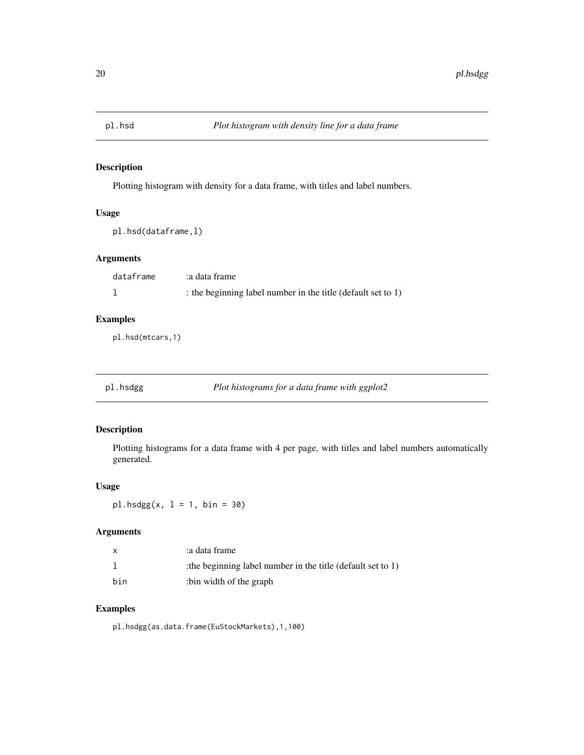<span id="page-19-0"></span>

Plotting histogram with density for a data frame, with titles and label numbers.

#### Usage

pl.hsd(dataframe,l)

# Arguments

| dataframe | a data frame:                                                |
|-----------|--------------------------------------------------------------|
|           | : the beginning label number in the title (default set to 1) |

# Examples

pl.hsd(mtcars,1)

pl.hsdgg *Plot histograms for a data frame with ggplot2*

# Description

Plotting histograms for a data frame with 4 per page, with titles and label numbers automatically generated.

#### Usage

 $p1.$ hsdgg $(x, 1 = 1, bin = 30)$ 

# Arguments

|     | a data frame:                                              |
|-----|------------------------------------------------------------|
|     | the beginning label number in the title (default set to 1) |
| bin | bin width of the graph:                                    |

# Examples

pl.hsdgg(as.data.frame(EuStockMarkets),1,100)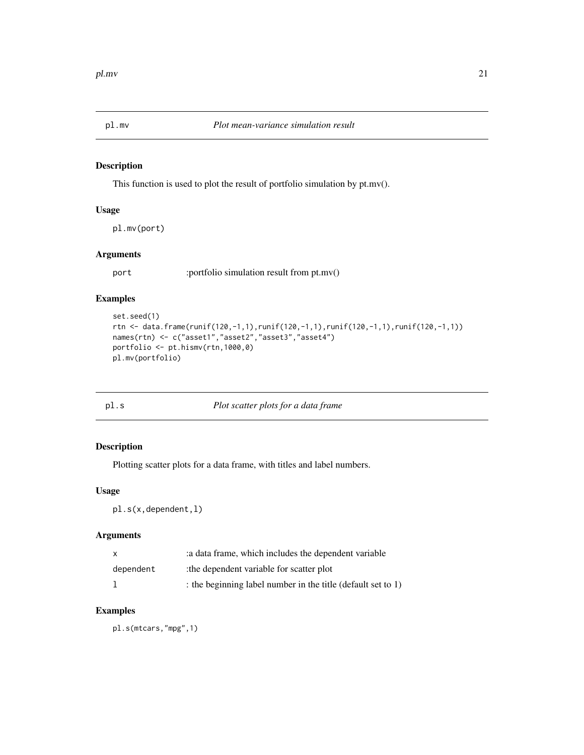<span id="page-20-0"></span>

This function is used to plot the result of portfolio simulation by pt.mv().

# Usage

pl.mv(port)

#### Arguments

port :portfolio simulation result from pt.mv()

# Examples

```
set.seed(1)
rtn <- data.frame(runif(120,-1,1),runif(120,-1,1),runif(120,-1,1),runif(120,-1,1))
names(rtn) <- c("asset1","asset2","asset3","asset4")
portfolio <- pt.hismv(rtn,1000,0)
pl.mv(portfolio)
```

|  | ÷ | ×<br>۰. |
|--|---|---------|

pl.s *Plot scatter plots for a data frame*

# Description

Plotting scatter plots for a data frame, with titles and label numbers.

#### Usage

pl.s(x,dependent,l)

#### Arguments

| X         | : a data frame, which includes the dependent variable        |
|-----------|--------------------------------------------------------------|
| dependent | the dependent variable for scatter plot:                     |
|           | : the beginning label number in the title (default set to 1) |

# Examples

pl.s(mtcars,"mpg",1)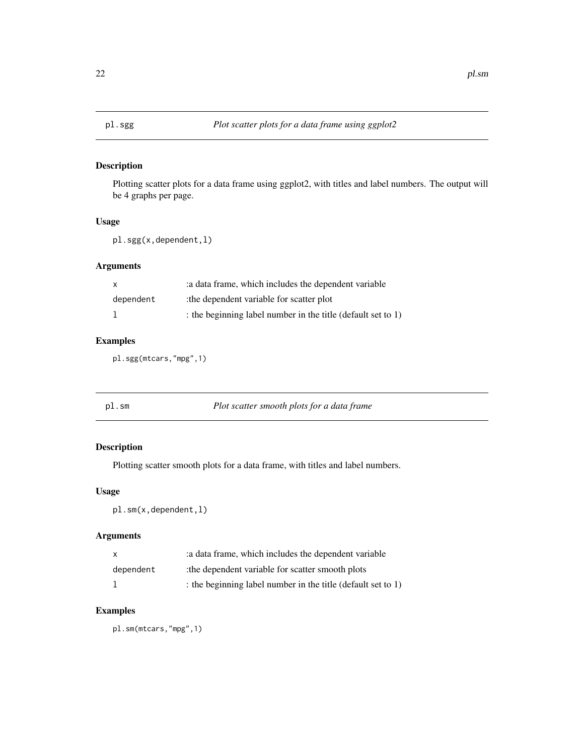<span id="page-21-0"></span>

Plotting scatter plots for a data frame using ggplot2, with titles and label numbers. The output will be 4 graphs per page.

#### Usage

pl.sgg(x,dependent,l)

# Arguments

| X.        | a data frame, which includes the dependent variable          |
|-----------|--------------------------------------------------------------|
| dependent | the dependent variable for scatter plot:                     |
|           | : the beginning label number in the title (default set to 1) |

# Examples

pl.sgg(mtcars,"mpg",1)

pl.sm *Plot scatter smooth plots for a data frame*

# Description

Plotting scatter smooth plots for a data frame, with titles and label numbers.

#### Usage

pl.sm(x,dependent,l)

# Arguments

| $\mathsf{x}$ | a data frame, which includes the dependent variable          |
|--------------|--------------------------------------------------------------|
| dependent    | the dependent variable for scatter smooth plots:             |
|              | : the beginning label number in the title (default set to 1) |

# Examples

pl.sm(mtcars,"mpg",1)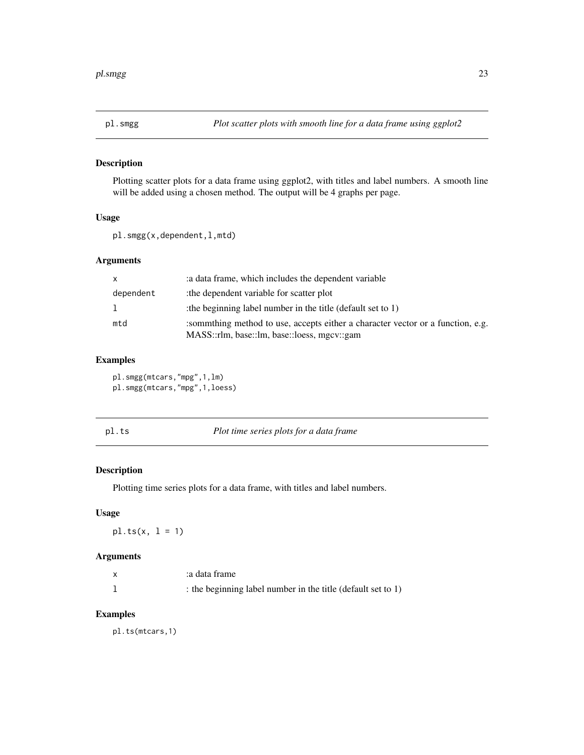<span id="page-22-0"></span>Plotting scatter plots for a data frame using ggplot2, with titles and label numbers. A smooth line will be added using a chosen method. The output will be 4 graphs per page.

# Usage

```
pl.smgg(x,dependent,l,mtd)
```
# Arguments

| $\mathsf{x}$ | a data frame, which includes the dependent variable                                                                             |
|--------------|---------------------------------------------------------------------------------------------------------------------------------|
| dependent    | the dependent variable for scatter plot:                                                                                        |
| $\mathbf{1}$ | the beginning label number in the title (default set to 1)                                                                      |
| mtd          | : sommthing method to use, accepts either a character vector or a function, e.g.<br>MASS::rlm, base::lm, base::loess, mgcv::gam |

# Examples

```
pl.smgg(mtcars,"mpg",1,lm)
pl.smgg(mtcars,"mpg",1,loess)
```

Plot time series plots for a data frame

#### Description

Plotting time series plots for a data frame, with titles and label numbers.

#### Usage

 $pl.ts(x, 1 = 1)$ 

#### Arguments

| a data frame:                                                |
|--------------------------------------------------------------|
| : the beginning label number in the title (default set to 1) |

# Examples

pl.ts(mtcars,1)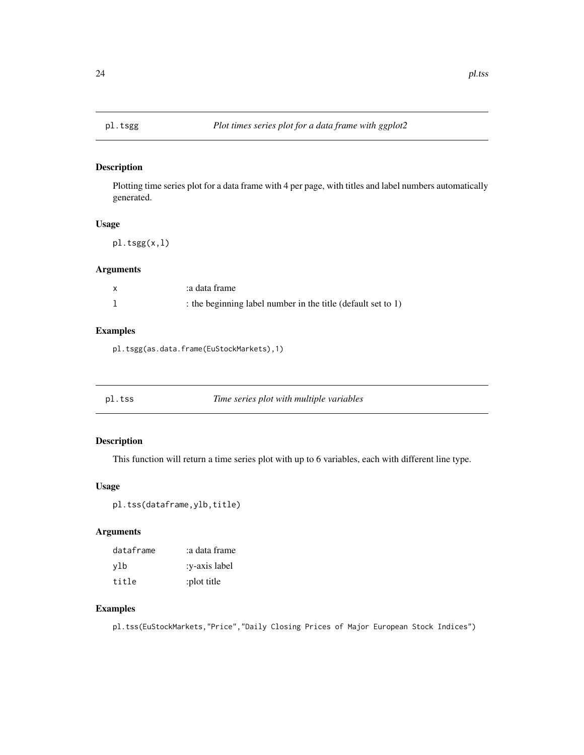<span id="page-23-0"></span>

Plotting time series plot for a data frame with 4 per page, with titles and label numbers automatically generated.

#### Usage

pl.tsgg(x,l)

# Arguments

| a data frame:                                                |
|--------------------------------------------------------------|
| : the beginning label number in the title (default set to 1) |

# Examples

pl.tsgg(as.data.frame(EuStockMarkets),1)

| DΙ | TSS |  |
|----|-----|--|
|    |     |  |

**Time series plot with multiple variables** 

# Description

This function will return a time series plot with up to 6 variables, each with different line type.

#### Usage

```
pl.tss(dataframe,ylb,title)
```
# Arguments

| dataframe | a data frame: |
|-----------|---------------|
| vlb       | :v-axis label |
| title     | :plot title   |

# Examples

pl.tss(EuStockMarkets,"Price","Daily Closing Prices of Major European Stock Indices")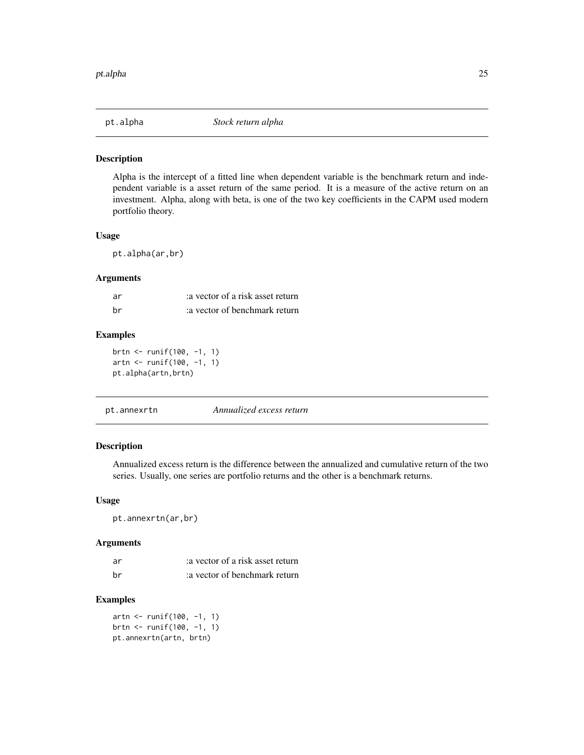<span id="page-24-0"></span>

Alpha is the intercept of a fitted line when dependent variable is the benchmark return and independent variable is a asset return of the same period. It is a measure of the active return on an investment. Alpha, along with beta, is one of the two key coefficients in the CAPM used modern portfolio theory.

#### Usage

pt.alpha(ar,br)

# Arguments

| ar | a vector of a risk asset return: |
|----|----------------------------------|
| hr | a vector of benchmark return:    |

# Examples

brtn <- runif(100, -1, 1) artn <- runif(100, -1, 1) pt.alpha(artn,brtn)

# Description

Annualized excess return is the difference between the annualized and cumulative return of the two series. Usually, one series are portfolio returns and the other is a benchmark returns.

#### Usage

pt.annexrtn(ar,br)

#### Arguments

| ar   | a vector of a risk asset return: |
|------|----------------------------------|
| - br | a vector of benchmark return:    |

#### Examples

artn <- runif(100, -1, 1) brtn <- runif(100, -1, 1) pt.annexrtn(artn, brtn)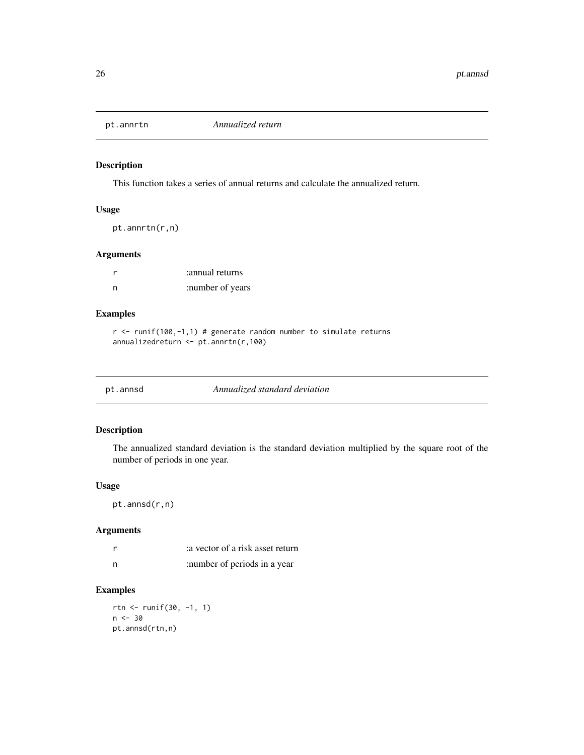<span id="page-25-0"></span>

This function takes a series of annual returns and calculate the annualized return.

# Usage

pt.annrtn(r,n)

#### Arguments

|   | annual returns:  |
|---|------------------|
| n | :number of years |

# Examples

 $r$  <- runif(100,-1,1) # generate random number to simulate returns annualizedreturn <- pt.annrtn(r,100)

# Description

The annualized standard deviation is the standard deviation multiplied by the square root of the number of periods in one year.

#### Usage

pt.annsd(r,n)

# Arguments

|   | a vector of a risk asset return: |
|---|----------------------------------|
| n | :number of periods in a year     |

# Examples

rtn <- runif(30, -1, 1)  $n < -30$ pt.annsd(rtn,n)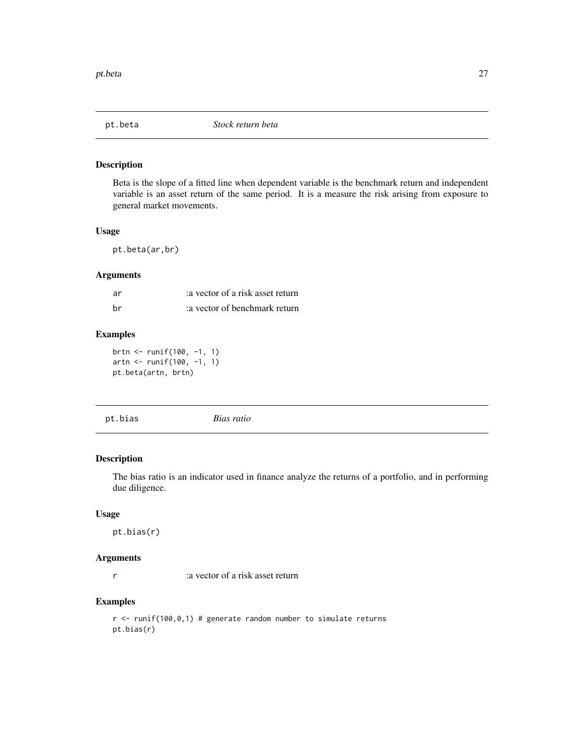<span id="page-26-0"></span>

Beta is the slope of a fitted line when dependent variable is the benchmark return and independent variable is an asset return of the same period. It is a measure the risk arising from exposure to general market movements.

#### Usage

pt.beta(ar,br)

#### Arguments

| ar | a vector of a risk asset return |
|----|---------------------------------|
| hr | a vector of benchmark return:   |

#### Examples

brtn <- runif(100, -1, 1) artn <- runif(100, -1, 1) pt.beta(artn, brtn)

pt.bias *Bias ratio*

# Description

The bias ratio is an indicator used in finance analyze the returns of a portfolio, and in performing due diligence.

# Usage

pt.bias(r)

#### Arguments

r :a vector of a risk asset return

#### Examples

 $r$  <- runif(100,0,1) # generate random number to simulate returns pt.bias(r)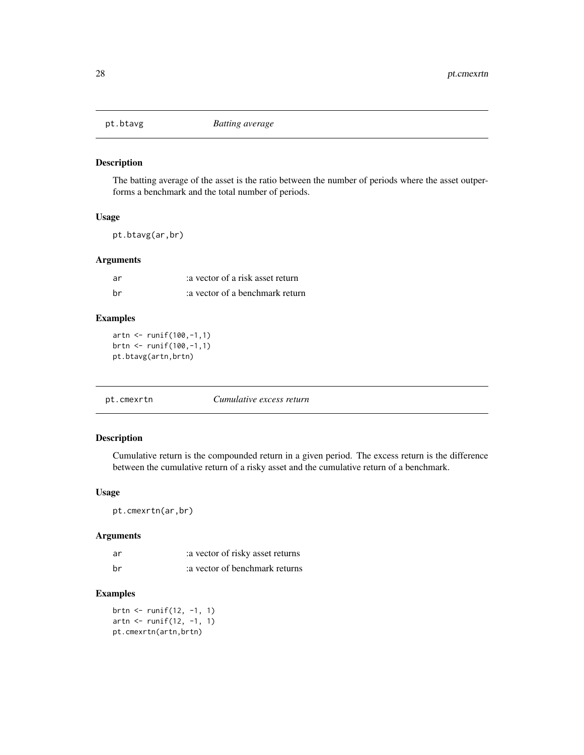<span id="page-27-0"></span>

The batting average of the asset is the ratio between the number of periods where the asset outperforms a benchmark and the total number of periods.

#### Usage

pt.btavg(ar,br)

#### Arguments

| ar | a vector of a risk asset return: |
|----|----------------------------------|
| hr | a vector of a benchmark return:  |

# Examples

```
artn <- runif(100,-1,1)
brtn <- runif(100,-1,1)
pt.btavg(artn,brtn)
```
pt.cmexrtn *Cumulative excess return*

#### Description

Cumulative return is the compounded return in a given period. The excess return is the difference between the cumulative return of a risky asset and the cumulative return of a benchmark.

#### Usage

pt.cmexrtn(ar,br)

#### Arguments

| ar | a vector of risky asset returns |
|----|---------------------------------|
| br | a vector of benchmark returns   |

# Examples

brtn <- runif(12, -1, 1) artn  $\le$  runif(12, -1, 1) pt.cmexrtn(artn,brtn)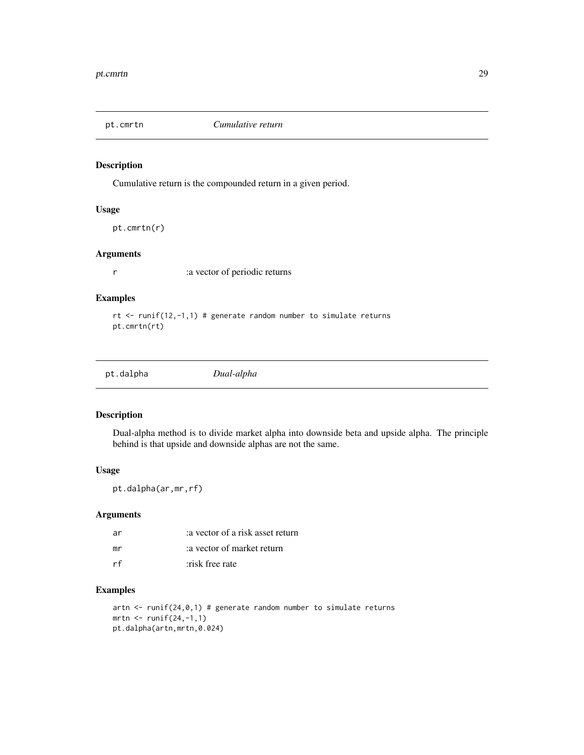<span id="page-28-0"></span>

Cumulative return is the compounded return in a given period.

# Usage

pt.cmrtn(r)

#### Arguments

r :a vector of periodic returns

# Examples

rt <- runif(12,-1,1) # generate random number to simulate returns pt.cmrtn(rt)

| pt.dalpha | Dual-alpha |  |  |
|-----------|------------|--|--|
|-----------|------------|--|--|

# Description

Dual-alpha method is to divide market alpha into downside beta and upside alpha. The principle behind is that upside and downside alphas are not the same.

#### Usage

pt.dalpha(ar,mr,rf)

#### Arguments

| ar | a vector of a risk asset return: |
|----|----------------------------------|
| mr | a vector of market return        |
| rf | risk free rate                   |

#### Examples

```
artn \le runif(24,0,1) # generate random number to simulate returns
mrtn <- runif(24,-1,1)
pt.dalpha(artn,mrtn,0.024)
```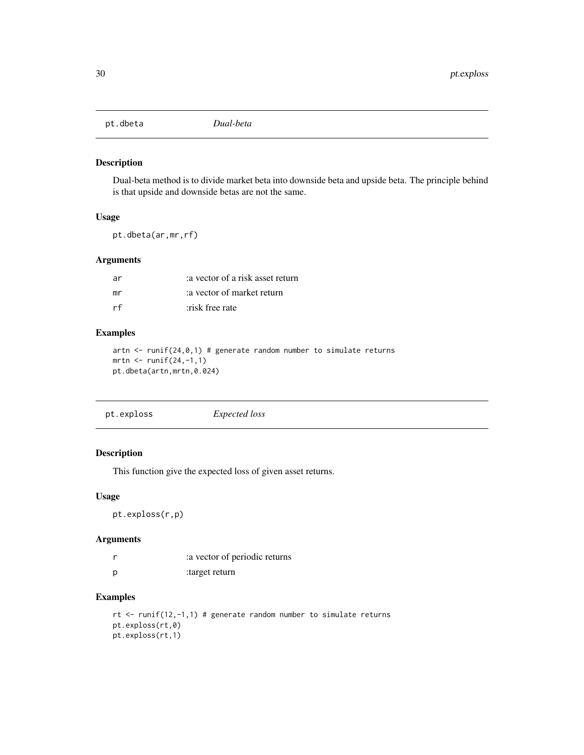<span id="page-29-0"></span>

Dual-beta method is to divide market beta into downside beta and upside beta. The principle behind is that upside and downside betas are not the same.

#### Usage

pt.dbeta(ar,mr,rf)

#### Arguments

| ar  | a vector of a risk asset return |
|-----|---------------------------------|
| mr  | a vector of market return:      |
| r f | risk free rate                  |

# Examples

```
artn \le runif(24,0,1) # generate random number to simulate returns
mrtn <- runif(24,-1,1)
pt.dbeta(artn,mrtn,0.024)
```
# Description

This function give the expected loss of given asset returns.

#### Usage

pt.exploss(r,p)

# Arguments

|   | a vector of periodic returns |
|---|------------------------------|
| p | target return:               |

# Examples

```
rt \le- runif(12,-1,1) # generate random number to simulate returns
pt.exploss(rt,0)
pt.exploss(rt,1)
```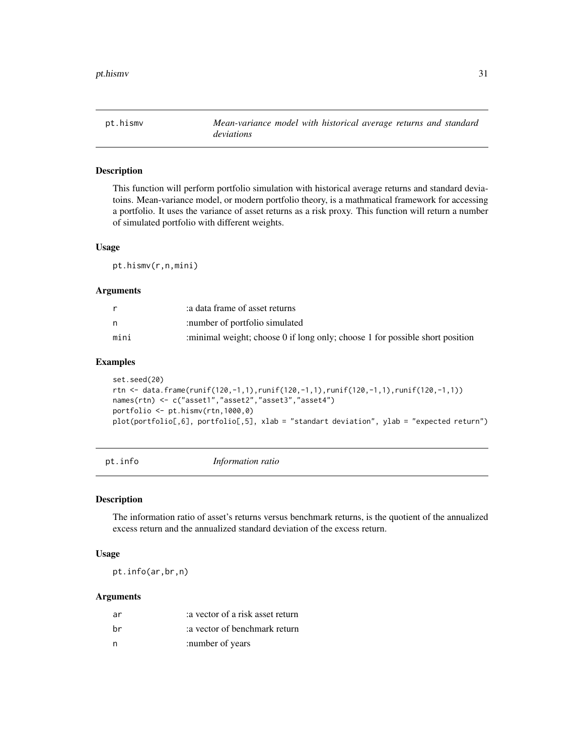<span id="page-30-0"></span>pt.hismv *Mean-variance model with historical average returns and standard deviations*

#### Description

This function will perform portfolio simulation with historical average returns and standard deviatoins. Mean-variance model, or modern portfolio theory, is a mathmatical framework for accessing a portfolio. It uses the variance of asset returns as a risk proxy. This function will return a number of simulated portfolio with different weights.

#### Usage

pt.hismv(r,n,mini)

#### Arguments

|      | a data frame of asset returns                                                 |
|------|-------------------------------------------------------------------------------|
| n.   | :number of portfolio simulated                                                |
| mini | : minimal weight; choose 0 if long only; choose 1 for possible short position |

# Examples

```
set.seed(20)
rtn <- data.frame(runif(120,-1,1),runif(120,-1,1),runif(120,-1,1),runif(120,-1,1))
names(rtn) <- c("asset1","asset2","asset3","asset4")
portfolio <- pt.hismv(rtn,1000,0)
plot(portfolio[,6], portfolio[,5], xlab = "standart deviation", ylab = "expected return")
```
pt.info *Information ratio*

#### Description

The information ratio of asset's returns versus benchmark returns, is the quotient of the annualized excess return and the annualized standard deviation of the excess return.

#### Usage

pt.info(ar,br,n)

#### Arguments

| ar | a vector of a risk asset return: |
|----|----------------------------------|
| hr | a vector of benchmark return:    |
| n  | :number of years                 |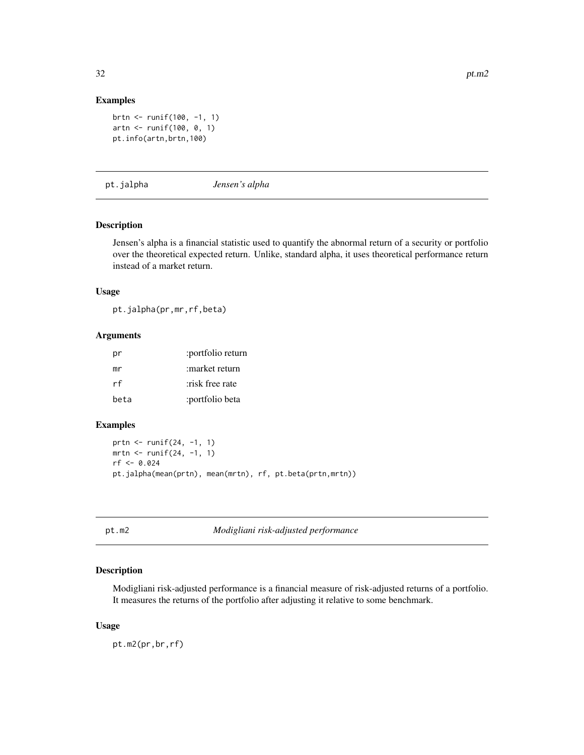# Examples

```
brtn <- runif(100, -1, 1)
artn <- runif(100, 0, 1)
pt.info(artn,brtn,100)
```
pt.jalpha *Jensen's alpha*

# Description

Jensen's alpha is a financial statistic used to quantify the abnormal return of a security or portfolio over the theoretical expected return. Unlike, standard alpha, it uses theoretical performance return instead of a market return.

#### Usage

pt.jalpha(pr,mr,rf,beta)

# Arguments

| рr   | :portfolio return |
|------|-------------------|
| mr   | :market return    |
| rf   | risk free rate    |
| beta | :portfolio beta   |

#### Examples

```
prtn <- runif(24, -1, 1)
mrtn \le- runif(24, -1, 1)
rf <- 0.024
pt.jalpha(mean(prtn), mean(mrtn), rf, pt.beta(prtn,mrtn))
```
pt.m2 *Modigliani risk-adjusted performance*

#### Description

Modigliani risk-adjusted performance is a financial measure of risk-adjusted returns of a portfolio. It measures the returns of the portfolio after adjusting it relative to some benchmark.

#### Usage

pt.m2(pr,br,rf)

<span id="page-31-0"></span>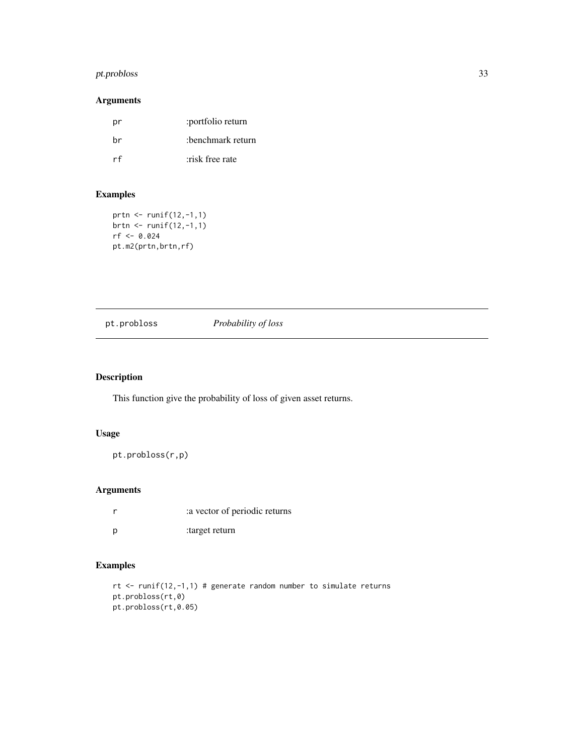# <span id="page-32-0"></span>pt.probloss 33

# Arguments

| pr | :portfolio return |
|----|-------------------|
| hr | :benchmark return |
| rf | risk free rate    |

# Examples

```
prtn <- runif(12,-1,1)
brtn <- runif(12,-1,1)
rf <- 0.024
pt.m2(prtn,brtn,rf)
```
# pt.probloss *Probability of loss*

# Description

This function give the probability of loss of given asset returns.

# Usage

pt.probloss(r,p)

# Arguments

|     | : a vector of periodic returns |
|-----|--------------------------------|
| - p | target return:                 |

# Examples

```
rt <- runif(12,-1,1) # generate random number to simulate returns
pt.probloss(rt,0)
pt.probloss(rt,0.05)
```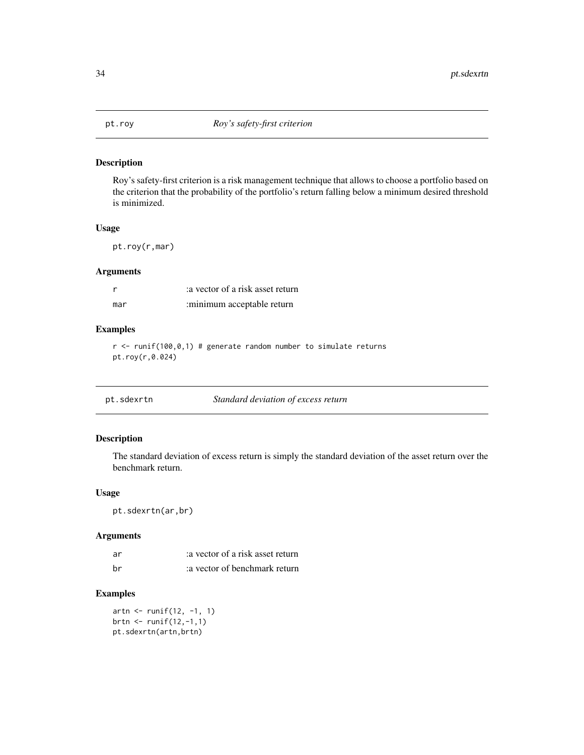<span id="page-33-0"></span>

Roy's safety-first criterion is a risk management technique that allows to choose a portfolio based on the criterion that the probability of the portfolio's return falling below a minimum desired threshold is minimized.

#### Usage

pt.roy(r,mar)

#### Arguments

|     | a vector of a risk asset return: |
|-----|----------------------------------|
| mar | :minimum acceptable return       |

#### Examples

 $r$  <- runif(100,0,1) # generate random number to simulate returns pt.roy(r,0.024)

# Description

The standard deviation of excess return is simply the standard deviation of the asset return over the benchmark return.

#### Usage

pt.sdexrtn(ar,br)

#### Arguments

| ar | a vector of a risk asset return: |
|----|----------------------------------|
| br | a vector of benchmark return:    |

#### Examples

artn  $\le$ - runif(12, -1, 1) brtn  $\le$  runif(12,-1,1) pt.sdexrtn(artn,brtn)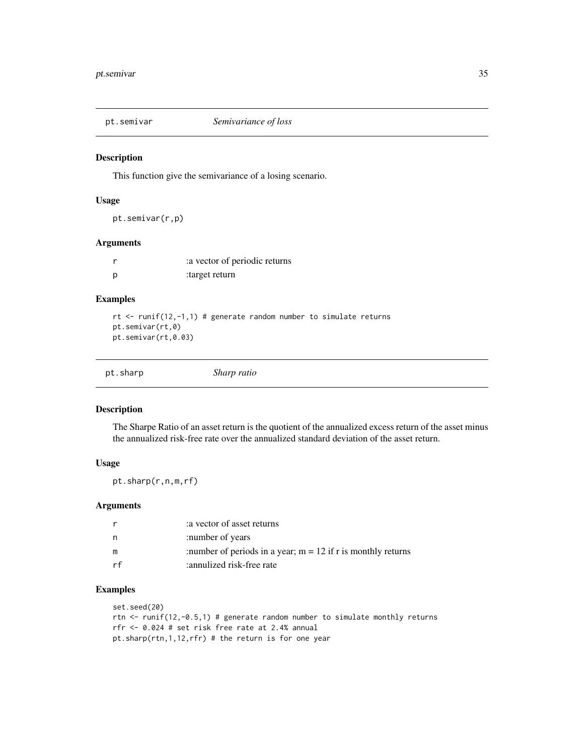<span id="page-34-0"></span>

This function give the semivariance of a losing scenario.

#### Usage

pt.semivar(r,p)

#### Arguments

|     | a vector of periodic returns |
|-----|------------------------------|
| - p | target return:               |

# Examples

```
rt \le- runif(12,-1,1) # generate random number to simulate returns
pt.semivar(rt,0)
pt.semivar(rt,0.03)
```

|  | Sharp ratio | pt.sharp |
|--|-------------|----------|
|--|-------------|----------|

# Description

The Sharpe Ratio of an asset return is the quotient of the annualized excess return of the asset minus the annualized risk-free rate over the annualized standard deviation of the asset return.

#### Usage

pt.sharp(r,n,m,rf)

#### Arguments

| r  | a vector of asset returns                                       |
|----|-----------------------------------------------------------------|
| n  | :number of years                                                |
| m  | : number of periods in a year; $m = 12$ if r is monthly returns |
| rf | :annulized risk-free rate                                       |

#### Examples

set.seed(20) rtn <- runif(12,-0.5,1) # generate random number to simulate monthly returns rfr <- 0.024 # set risk free rate at 2.4% annual pt.sharp(rtn,1,12,rfr) # the return is for one year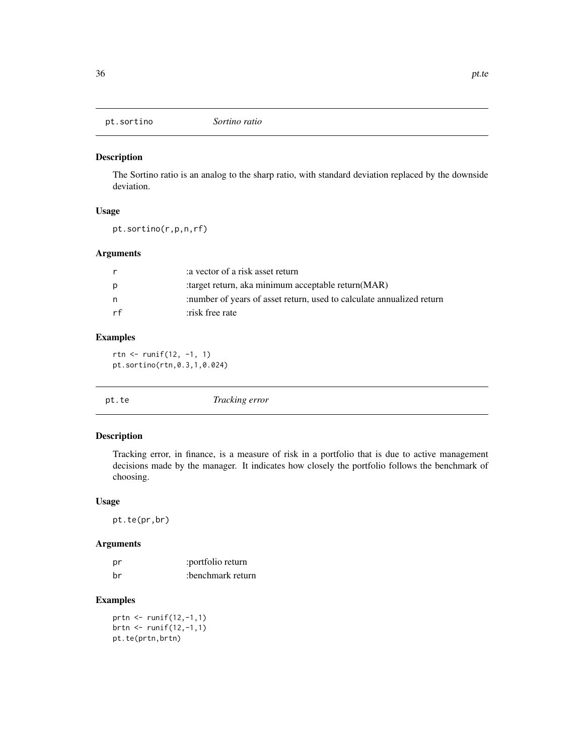<span id="page-35-0"></span>pt.sortino *Sortino ratio*

# Description

The Sortino ratio is an analog to the sharp ratio, with standard deviation replaced by the downside deviation.

#### Usage

pt.sortino(r,p,n,rf)

#### Arguments

| r  | a vector of a risk asset return:                                           |
|----|----------------------------------------------------------------------------|
| p  | :target return, aka minimum acceptable return(MAR)                         |
| n. | in the inner of years of asset return, used to calculate annualized return |
| rf | risk free rate                                                             |

# Examples

rtn <- runif(12, -1, 1) pt.sortino(rtn,0.3,1,0.024)

| pt.te | Tracking error |
|-------|----------------|
|       |                |

#### Description

Tracking error, in finance, is a measure of risk in a portfolio that is due to active management decisions made by the manager. It indicates how closely the portfolio follows the benchmark of choosing.

# Usage

pt.te(pr,br)

# Arguments

| pr | : portfolio return |
|----|--------------------|
| hr | :benchmark return  |

# Examples

prtn <- runif(12,-1,1) brtn <- runif(12,-1,1) pt.te(prtn,brtn)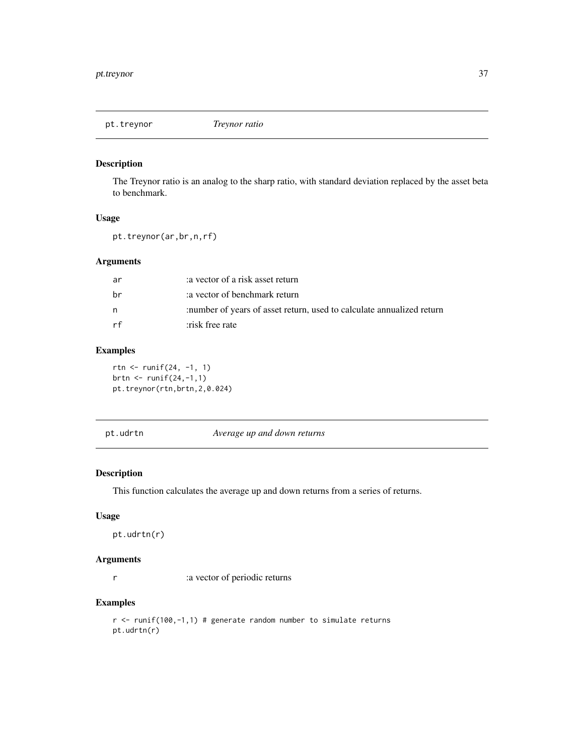<span id="page-36-0"></span>

The Treynor ratio is an analog to the sharp ratio, with standard deviation replaced by the asset beta to benchmark.

#### Usage

pt.treynor(ar,br,n,rf)

# Arguments

| ar  | a vector of a risk asset return:                                       |
|-----|------------------------------------------------------------------------|
| .hr | a vector of benchmark return                                           |
| n,  | : number of years of asset return, used to calculate annualized return |
| rf  | risk free rate                                                         |

# Examples

rtn <- runif(24, -1, 1) brtn  $\le$  runif(24,-1,1) pt.treynor(rtn,brtn,2,0.024)

|  |  | pt.udrtn |  |
|--|--|----------|--|
|--|--|----------|--|

Average up and down returns

#### Description

This function calculates the average up and down returns from a series of returns.

#### Usage

pt.udrtn(r)

# Arguments

r :a vector of periodic returns

# Examples

 $r$  <- runif(100,-1,1) # generate random number to simulate returns pt.udrtn(r)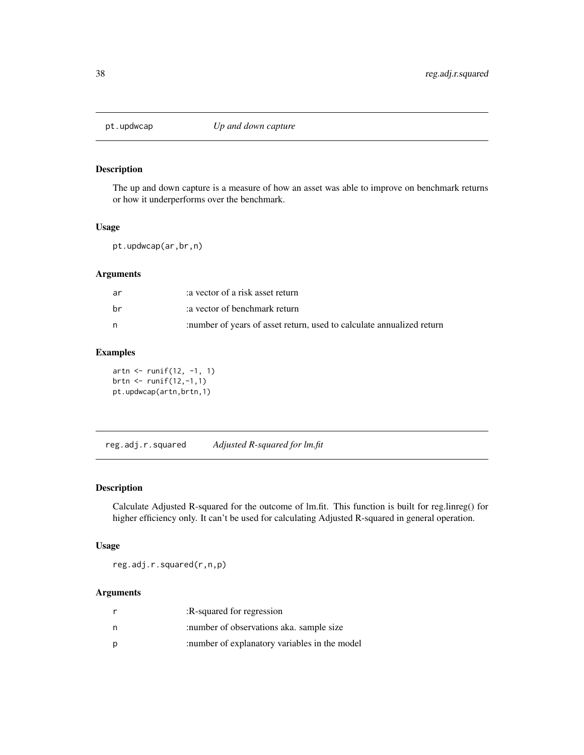<span id="page-37-0"></span>

The up and down capture is a measure of how an asset was able to improve on benchmark returns or how it underperforms over the benchmark.

#### Usage

pt.updwcap(ar,br,n)

#### Arguments

| ar | a vector of a risk asset return:                                      |
|----|-----------------------------------------------------------------------|
| br | a vector of benchmark return:                                         |
| n  | :number of years of asset return, used to calculate annualized return |

# Examples

artn  $\le$  runif(12, -1, 1) brtn <- runif(12,-1,1) pt.updwcap(artn,brtn,1)

reg.adj.r.squared *Adjusted R-squared for lm.fit*

#### Description

Calculate Adjusted R-squared for the outcome of lm.fit. This function is built for reg.linreg() for higher efficiency only. It can't be used for calculating Adjusted R-squared in general operation.

# Usage

reg.adj.r.squared(r,n,p)

# Arguments

|   | :R-squared for regression                      |
|---|------------------------------------------------|
| n | :number of observations aka. sample size       |
| p | : number of explanatory variables in the model |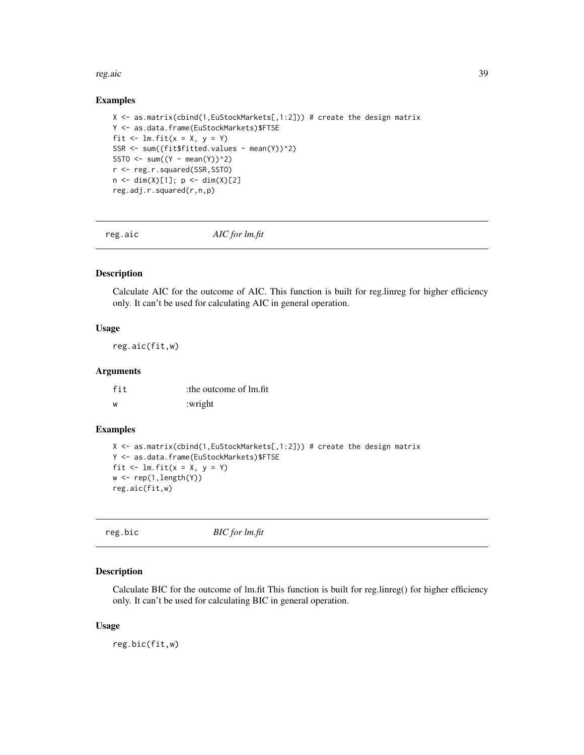<span id="page-38-0"></span>reg.aic 39

#### Examples

```
X <- as.matrix(cbind(1,EuStockMarkets[,1:2])) # create the design matrix
Y <- as.data.frame(EuStockMarkets)$FTSE
fit \le - lm.fit(x = X, y = Y)SSR <- sum((fit$fitted.values - mean(Y))^2)
SSTO \le sum((Y - mean(Y))^2)
r <- reg.r.squared(SSR,SSTO)
n \leq -\dim(X)[1]; \ p \leq -\dim(X)[2]reg.adj.r.squared(r,n,p)
```
reg.aic *AIC for lm.fit*

# Description

Calculate AIC for the outcome of AIC. This function is built for reg.linreg for higher efficiency only. It can't be used for calculating AIC in general operation.

#### Usage

reg.aic(fit,w)

# Arguments

| fit | the outcome of lm.fit |
|-----|-----------------------|
| ้พ  | :wright               |

# Examples

```
X \leftarrow as.matrix(cbind(1,EuStockMarkets[,1:2])) # create the design matrix
Y <- as.data.frame(EuStockMarkets)$FTSE
fit \le 1m.fit(x = X, y = Y)
w \leftarrow \text{rep}(1, \text{length}(Y))reg.aic(fit,w)
```
reg.bic *BIC for lm.fit*

# Description

Calculate BIC for the outcome of lm.fit This function is built for reg.linreg() for higher efficiency only. It can't be used for calculating BIC in general operation.

#### Usage

reg.bic(fit,w)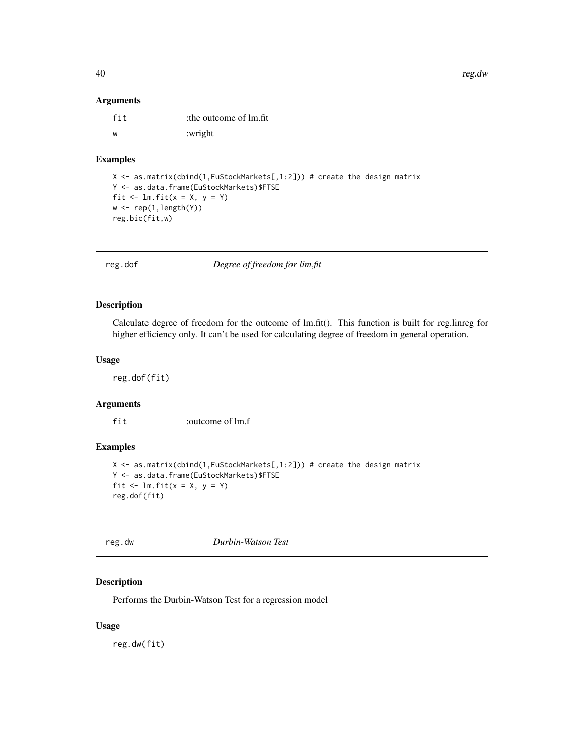<span id="page-39-0"></span>40 and the state of the state of the state of the state of the state of the state of the state of the state of the state of the state of the state of the state of the state of the state of the state of the state of the sta

#### Arguments

| fit | the outcome of lm.fit |
|-----|-----------------------|
| W   | :wright               |

#### Examples

```
X <- as.matrix(cbind(1,EuStockMarkets[,1:2])) # create the design matrix
Y <- as.data.frame(EuStockMarkets)$FTSE
fit \le lm.fit(x = X, y = Y)
w \leftarrow \text{rep}(1, \text{length}(Y))reg.bic(fit,w)
```
reg.dof *Degree of freedom for lim.fit*

# Description

Calculate degree of freedom for the outcome of lm.fit(). This function is built for reg.linreg for higher efficiency only. It can't be used for calculating degree of freedom in general operation.

#### Usage

reg.dof(fit)

# Arguments

fit :outcome of lm.f

#### Examples

```
X <- as.matrix(cbind(1,EuStockMarkets[,1:2])) # create the design matrix
Y <- as.data.frame(EuStockMarkets)$FTSE
fit \le lm.fit(x = X, y = Y)
reg.dof(fit)
```
reg.dw *Durbin-Watson Test*

# Description

Performs the Durbin-Watson Test for a regression model

#### Usage

reg.dw(fit)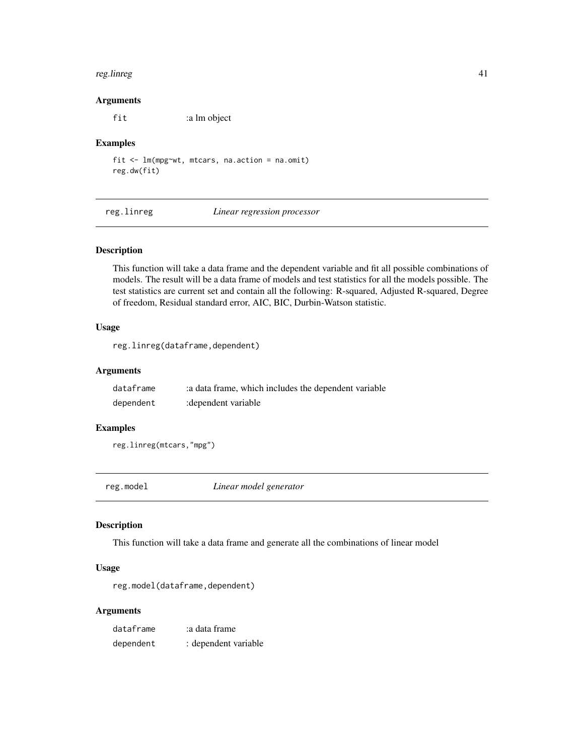#### <span id="page-40-0"></span>reg.linreg 41

#### Arguments

fit :a lm object

#### Examples

fit <- lm(mpg~wt, mtcars, na.action = na.omit) reg.dw(fit)

reg.linreg *Linear regression processor*

#### Description

This function will take a data frame and the dependent variable and fit all possible combinations of models. The result will be a data frame of models and test statistics for all the models possible. The test statistics are current set and contain all the following: R-squared, Adjusted R-squared, Degree of freedom, Residual standard error, AIC, BIC, Durbin-Watson statistic.

#### Usage

reg.linreg(dataframe,dependent)

#### Arguments

| dataframe | : a data frame, which includes the dependent variable |
|-----------|-------------------------------------------------------|
| dependent | : dependent variable                                  |

#### Examples

reg.linreg(mtcars,"mpg")

reg.model *Linear model generator*

#### Description

This function will take a data frame and generate all the combinations of linear model

#### Usage

```
reg.model(dataframe,dependent)
```
#### Arguments

| dataframe | a data frame:        |
|-----------|----------------------|
| dependent | : dependent variable |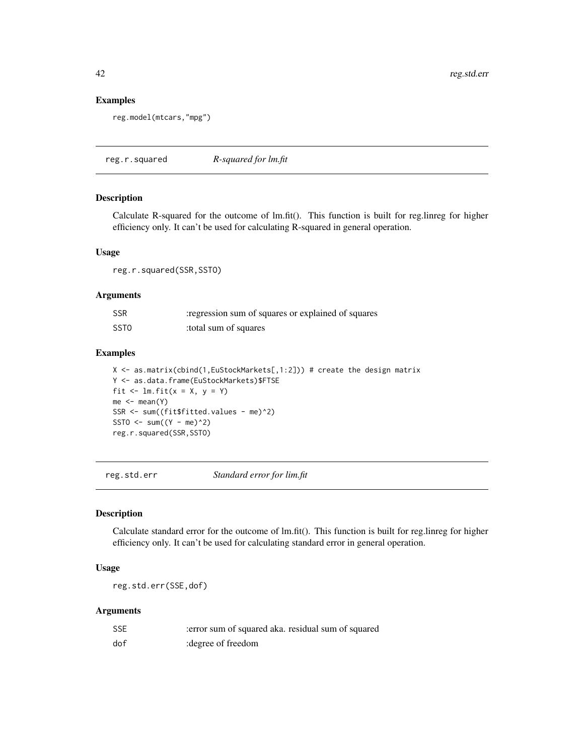#### Examples

```
reg.model(mtcars,"mpg")
```
reg.r.squared *R-squared for lm.fit*

#### Description

Calculate R-squared for the outcome of lm.fit(). This function is built for reg.linreg for higher efficiency only. It can't be used for calculating R-squared in general operation.

#### Usage

reg.r.squared(SSR,SSTO)

#### Arguments

| <b>SSR</b>       | regression sum of squares or explained of squares |
|------------------|---------------------------------------------------|
| SST <sub>0</sub> | total sum of squares                              |

#### Examples

X <- as.matrix(cbind(1,EuStockMarkets[,1:2])) # create the design matrix Y <- as.data.frame(EuStockMarkets)\$FTSE fit  $\le$  lm.fit( $x = X$ ,  $y = Y$ )  $me < -$  mean(Y) SSR <- sum((fit\$fitted.values - me)^2) SSTO  $\le$  sum((Y - me)^2) reg.r.squared(SSR,SSTO)

reg.std.err *Standard error for lim.fit*

#### Description

Calculate standard error for the outcome of lm.fit(). This function is built for reg.linreg for higher efficiency only. It can't be used for calculating standard error in general operation.

#### Usage

reg.std.err(SSE,dof)

#### Arguments

| <b>SSE</b> | error sum of squared aka. residual sum of squared |  |
|------------|---------------------------------------------------|--|
| dof        | : degree of freedom                               |  |

<span id="page-41-0"></span>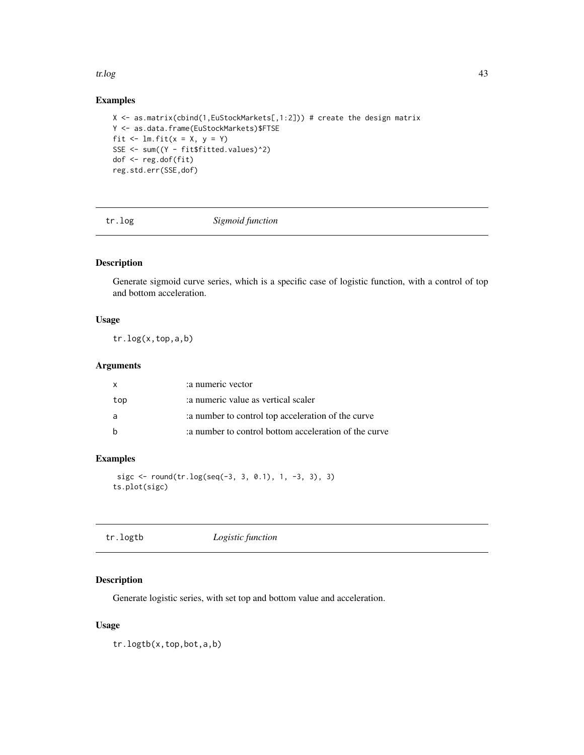#### <span id="page-42-0"></span>tr.log 43

# Examples

```
X <- as.matrix(cbind(1,EuStockMarkets[,1:2])) # create the design matrix
Y <- as.data.frame(EuStockMarkets)$FTSE
fit \le lm.fit(x = X, y = Y)
SSE <- sum((Y - fit$fitted.values)^2)
dof <- reg.dof(fit)
reg.std.err(SSE,dof)
```
tr.log *Sigmoid function*

# Description

Generate sigmoid curve series, which is a specific case of logistic function, with a control of top and bottom acceleration.

# Usage

tr.log(x,top,a,b)

#### Arguments

| X   | :a numeric vector                                    |
|-----|------------------------------------------------------|
| top | a numeric value as vertical scaler                   |
| a   | a number to control top acceleration of the curve    |
| - b | a number to control bottom acceleration of the curve |

#### Examples

sigc <-  $round(tr.log(seq(-3, 3, 0.1), 1, -3, 3), 3)$ ts.plot(sigc)

# Description

Generate logistic series, with set top and bottom value and acceleration.

#### Usage

tr.logtb(x,top,bot,a,b)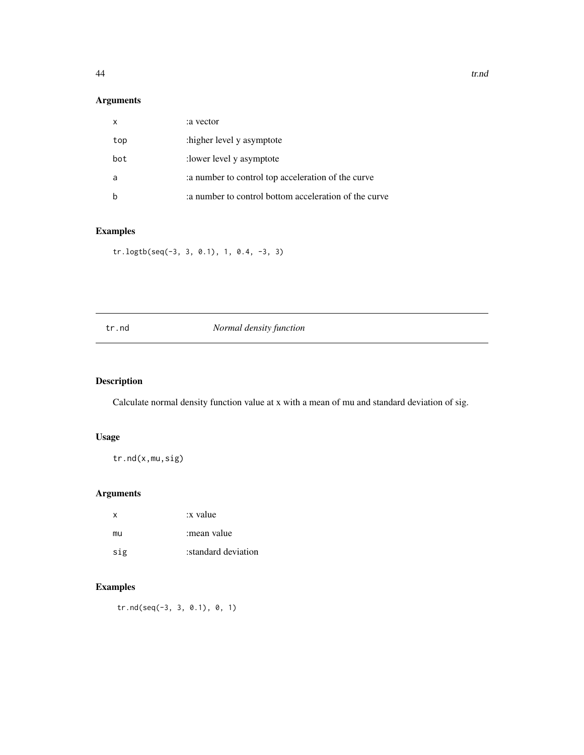# <span id="page-43-0"></span>Arguments

| x   | a vector:                                            |
|-----|------------------------------------------------------|
| top | higher level y asymptote.                            |
| bot | : lower level y asymptote                            |
| a   | a number to control top acceleration of the curve    |
|     | a number to control bottom acceleration of the curve |

# Examples

tr.logtb(seq(-3, 3, 0.1), 1, 0.4, -3, 3)

# tr.nd *Normal density function*

# Description

Calculate normal density function value at x with a mean of mu and standard deviation of sig.

# Usage

tr.nd(x,mu,sig)

# Arguments

| X   | x value             |
|-----|---------------------|
| mu  | :mean value         |
| sig | standard deviation: |

# Examples

tr.nd(seq(-3, 3, 0.1), 0, 1)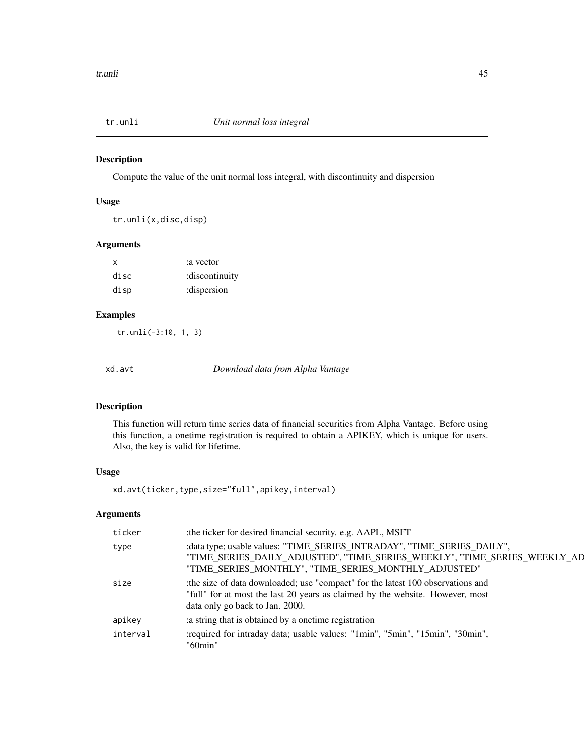<span id="page-44-0"></span>

Compute the value of the unit normal loss integral, with discontinuity and dispersion

#### Usage

tr.unli(x,disc,disp)

#### Arguments

| X    | :a vector      |
|------|----------------|
| disc | :discontinuity |
| disp | :dispersion    |

# Examples

tr.unli(-3:10, 1, 3)

xd.avt *Download data from Alpha Vantage*

# Description

This function will return time series data of financial securities from Alpha Vantage. Before using this function, a onetime registration is required to obtain a APIKEY, which is unique for users. Also, the key is valid for lifetime.

# Usage

xd.avt(ticker,type,size="full",apikey,interval)

# Arguments

| "TIME_SERIES_DAILY_ADJUSTED", "TIME_SERIES_WEEKLY", "TIME_SERIES_WEEKLY_AD |
|----------------------------------------------------------------------------|
|                                                                            |
|                                                                            |
|                                                                            |
|                                                                            |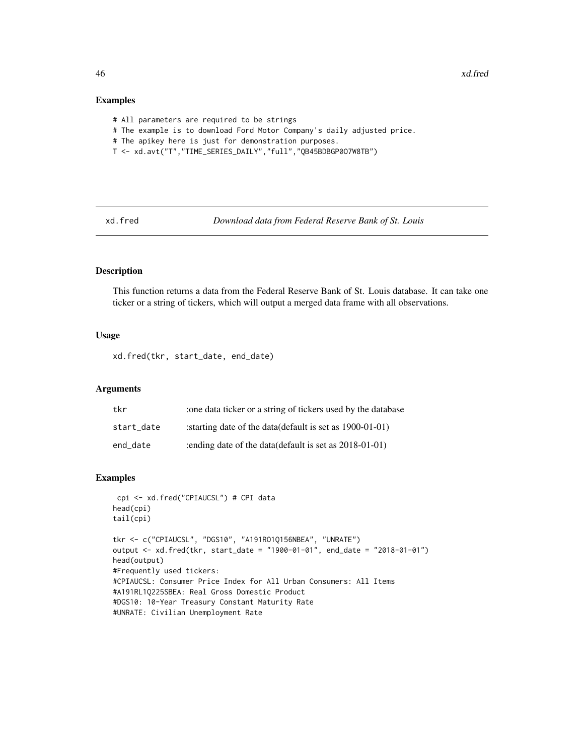#### Examples

- # All parameters are required to be strings
- # The example is to download Ford Motor Company's daily adjusted price.
- # The apikey here is just for demonstration purposes.
- T <- xd.avt("T","TIME\_SERIES\_DAILY","full","QB45BDBGP0O7W8TB")

xd.fred *Download data from Federal Reserve Bank of St. Louis*

#### Description

This function returns a data from the Federal Reserve Bank of St. Louis database. It can take one ticker or a string of tickers, which will output a merged data frame with all observations.

# Usage

xd.fred(tkr, start\_date, end\_date)

#### Arguments

| tkr        | the come data ticker or a string of tickers used by the database. |
|------------|-------------------------------------------------------------------|
| start date | : starting date of the data (default is set as $1900-01-01$ )     |
| end date   | :ending date of the data (default is set as 2018-01-01)           |

# **Examples**

```
cpi <- xd.fred("CPIAUCSL") # CPI data
head(cpi)
tail(cpi)
tkr <- c("CPIAUCSL", "DGS10", "A191RO1Q156NBEA", "UNRATE")
output <- xd.fred(tkr, start_date = "1900-01-01", end_date = "2018-01-01")
head(output)
#Frequently used tickers:
#CPIAUCSL: Consumer Price Index for All Urban Consumers: All Items
#A191RL1Q225SBEA: Real Gross Domestic Product
#DGS10: 10-Year Treasury Constant Maturity Rate
#UNRATE: Civilian Unemployment Rate
```
<span id="page-45-0"></span>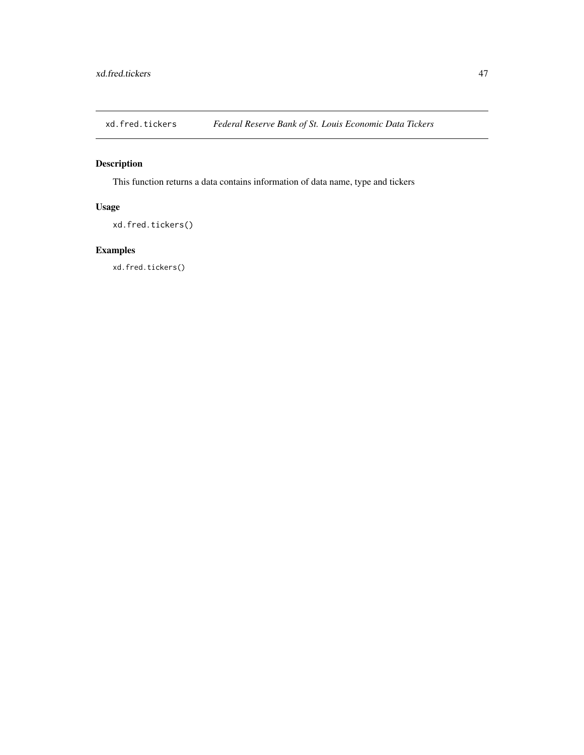<span id="page-46-0"></span>

This function returns a data contains information of data name, type and tickers

# Usage

```
xd.fred.tickers()
```
# Examples

xd.fred.tickers()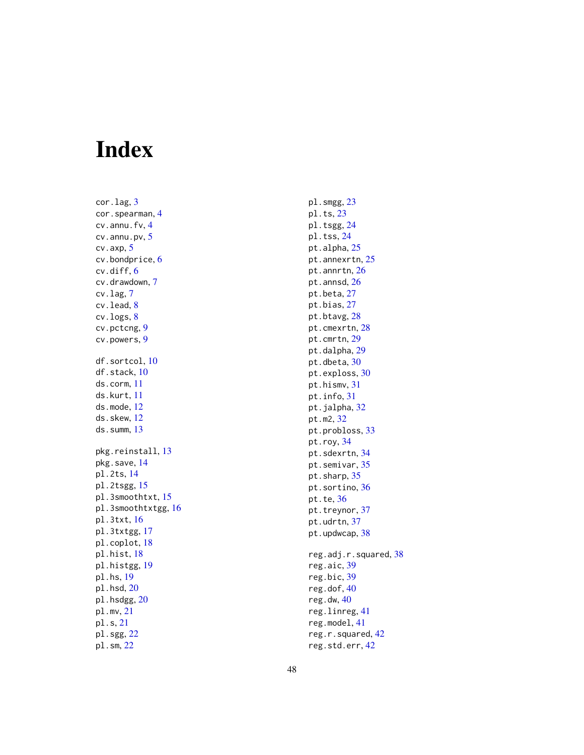# <span id="page-47-0"></span>Index

cor.lag , [3](#page-2-0) cor.spearman , [4](#page-3-0) cv.annu.fv,[4](#page-3-0) cv.annu.pv, <mark>[5](#page-4-0)</mark> cv.axp, <mark>[5](#page-4-0)</mark> cv.bondprice , [6](#page-5-0) cv.diff , [6](#page-5-0) cv.drawdown , [7](#page-6-0) cv.lag , [7](#page-6-0) cv.lead , [8](#page-7-0) cv.logs , [8](#page-7-0) cv.pctcng , [9](#page-8-0) cv.powers , [9](#page-8-0) df.sortcol,  $10\,$  $10\,$ df.stack , [10](#page-9-0) ds.corm , [11](#page-10-0) ds.kurt , [11](#page-10-0) ds.mode , [12](#page-11-0) ds.skew , [12](#page-11-0) ds.summ , [13](#page-12-0) pkg.reinstall , [13](#page-12-0) pkg.save , [14](#page-13-0) pl.2ts , [14](#page-13-0) pl.2tsgg , [15](#page-14-0) pl.3smoothtxt , [15](#page-14-0) pl.3smoothtxtgg , [16](#page-15-0) pl.3txt , [16](#page-15-0) pl.3txtgg , [17](#page-16-0) pl.coplot , [18](#page-17-0) pl.hist , [18](#page-17-0) pl.histgg , [19](#page-18-0) pl.hs , [19](#page-18-0) pl.hsd , [20](#page-19-0) pl.hsdgg , [20](#page-19-0) pl.mv , [21](#page-20-0) pl.s , [21](#page-20-0) pl.sgg , [22](#page-21-0) pl.sm , [22](#page-21-0)

pl.smgg, [23](#page-22-0) pl.ts , [23](#page-22-0) pl.tsgg , [24](#page-23-0) pl.tss , [24](#page-23-0) pt.alpha , [25](#page-24-0) pt.annexrtn, [25](#page-24-0) pt.annrtn , [26](#page-25-0) pt.annsd , [26](#page-25-0) pt.beta , [27](#page-26-0) pt.bias, [27](#page-26-0) pt.btavg , [28](#page-27-0) pt.cmexrtn , [28](#page-27-0) pt.cmrtn , [29](#page-28-0) pt.dalpha , [29](#page-28-0) pt.dbeta, [30](#page-29-0) pt.exploss , [30](#page-29-0) pt.hismv , [31](#page-30-0) pt.info , [31](#page-30-0) pt.jalpha, [32](#page-31-0) pt.m2 , [32](#page-31-0) pt.probloss , [33](#page-32-0) pt.roy, [34](#page-33-0) pt.sdexrtn , [34](#page-33-0) pt.semivar,[35](#page-34-0) pt.sharp, [35](#page-34-0) pt.sortino, $36$ pt.te, [36](#page-35-0) pt.treynor, [37](#page-36-0) pt.udrtn, [37](#page-36-0) pt.updwcap, [38](#page-37-0) reg.adj.r.squared, [38](#page-37-0) reg.aic , [39](#page-38-0) reg.bic , [39](#page-38-0) reg.dof , [40](#page-39-0) reg.dw , [40](#page-39-0) reg.linreg , [41](#page-40-0) reg.model , [41](#page-40-0) reg.r.squared, [42](#page-41-0) reg.std.err , [42](#page-41-0)